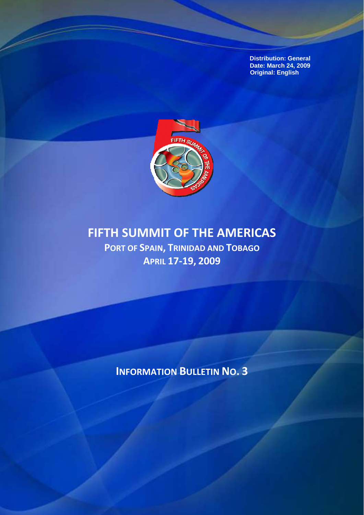**Distribution: General Date: March 24, 2009 Original: English** 



# **FIFTH SUMMIT OF THE AMERICAS**

**PORT OF SPAIN, TRINIDAD AND TOBAGO APRIL 17‐19, 2009**

**INFORMATION BULLETIN NO. 3**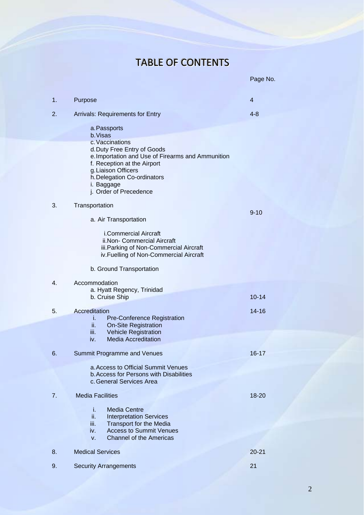# TABLE OF CONTENTS

|    |                                                                                                                                                                                                                                                              | Page No.  |
|----|--------------------------------------------------------------------------------------------------------------------------------------------------------------------------------------------------------------------------------------------------------------|-----------|
| 1. | Purpose                                                                                                                                                                                                                                                      | 4         |
| 2. | <b>Arrivals: Requirements for Entry</b>                                                                                                                                                                                                                      | $4 - 8$   |
|    | a. Passports<br>b. Visas<br>c. Vaccinations<br>d. Duty Free Entry of Goods<br>e. Importation and Use of Firearms and Ammunition<br>f. Reception at the Airport<br>g. Liaison Officers<br>h. Delegation Co-ordinators<br>i. Baggage<br>j. Order of Precedence |           |
| 3. | Transportation                                                                                                                                                                                                                                               | $9 - 10$  |
|    | a. Air Transportation                                                                                                                                                                                                                                        |           |
|    | <b>i.Commercial Aircraft</b><br>ii.Non- Commercial Aircraft<br>iii. Parking of Non-Commercial Aircraft<br>iv. Fuelling of Non-Commercial Aircraft                                                                                                            |           |
|    | b. Ground Transportation                                                                                                                                                                                                                                     |           |
| 4. | Accommodation<br>a. Hyatt Regency, Trinidad<br>b. Cruise Ship                                                                                                                                                                                                | $10 - 14$ |
| 5. | Accreditation                                                                                                                                                                                                                                                | $14 - 16$ |
|    | <b>Pre-Conference Registration</b><br>Ĺ.<br>ii.<br><b>On-Site Registration</b><br><b>Vehicle Registration</b><br>iii.<br><b>Media Accreditation</b><br>iv.                                                                                                   |           |
| 6. | <b>Summit Programme and Venues</b>                                                                                                                                                                                                                           | $16 - 17$ |
|    | a. Access to Official Summit Venues<br><b>b. Access for Persons with Disabilities</b><br>c. General Services Area                                                                                                                                            |           |
| 7. | <b>Media Facilities</b>                                                                                                                                                                                                                                      | 18-20     |
|    | <b>Media Centre</b><br>÷.<br>ii.<br><b>Interpretation Services</b><br>iii.<br><b>Transport for the Media</b><br><b>Access to Summit Venues</b><br>iv.<br><b>Channel of the Americas</b><br>v.                                                                |           |
| 8. | <b>Medical Services</b>                                                                                                                                                                                                                                      | $20 - 21$ |
| 9. | <b>Security Arrangements</b>                                                                                                                                                                                                                                 | 21        |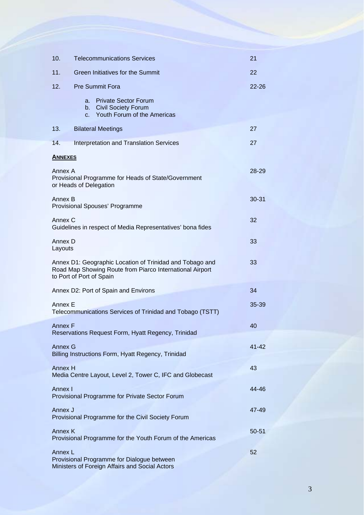| 10.                | <b>Telecommunications Services</b>                                                                                                               | 21        |
|--------------------|--------------------------------------------------------------------------------------------------------------------------------------------------|-----------|
| 11.                | <b>Green Initiatives for the Summit</b>                                                                                                          | 22        |
| 12.                | <b>Pre Summit Fora</b>                                                                                                                           | $22 - 26$ |
|                    | <b>Private Sector Forum</b><br>a.<br><b>Civil Society Forum</b><br>b.<br>Youth Forum of the Americas<br>$C_{-}$                                  |           |
| 13.                | <b>Bilateral Meetings</b>                                                                                                                        | 27        |
| 14.                | <b>Interpretation and Translation Services</b>                                                                                                   | 27        |
| <b>ANNEXES</b>     |                                                                                                                                                  |           |
| Annex A            | Provisional Programme for Heads of State/Government<br>or Heads of Delegation                                                                    | 28-29     |
| Annex B            | Provisional Spouses' Programme                                                                                                                   | $30 - 31$ |
| Annex C            | Guidelines in respect of Media Representatives' bona fides                                                                                       | 32        |
| Annex D<br>Layouts |                                                                                                                                                  | 33        |
|                    | Annex D1: Geographic Location of Trinidad and Tobago and<br>Road Map Showing Route from Piarco International Airport<br>to Port of Port of Spain | 33        |
|                    | Annex D2: Port of Spain and Environs                                                                                                             | 34        |
| Annex E            | Telecommunications Services of Trinidad and Tobago (TSTT)                                                                                        | $35 - 39$ |
| <b>Annex F</b>     | Reservations Request Form, Hyatt Regency, Trinidad                                                                                               | 40        |
| <b>Annex G</b>     | Billing Instructions Form, Hyatt Regency, Trinidad                                                                                               | $41 - 42$ |
| <b>Annex H</b>     | Media Centre Layout, Level 2, Tower C, IFC and Globecast                                                                                         | 43        |
| Annex I            | Provisional Programme for Private Sector Forum                                                                                                   | 44-46     |
| Annex J            | Provisional Programme for the Civil Society Forum                                                                                                | 47-49     |
| Annex K            | Provisional Programme for the Youth Forum of the Americas                                                                                        | $50 - 51$ |
| Annex L            | Provisional Programme for Dialogue between<br>Ministers of Foreign Affairs and Social Actors                                                     | 52        |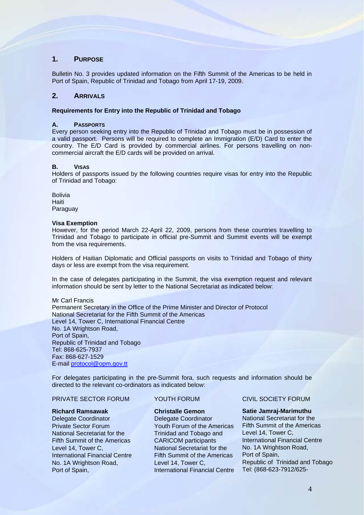# **1. PURPOSE**

Bulletin No. 3 provides updated information on the Fifth Summit of the Americas to be held in Port of Spain, Republic of Trinidad and Tobago from April 17-19, 2009.

# **2. ARRIVALS**

# **Requirements for Entry into the Republic of Trinidad and Tobago**

# **A. PASSPORTS**

Every person seeking entry into the Republic of Trinidad and Tobago must be in possession of a valid passport. Persons will be required to complete an Immigration (E/D) Card to enter the country. The E/D Card is provided by commercial airlines. For persons travelling on noncommercial aircraft the E/D cards will be provided on arrival.

# **B. VISAS**

Holders of passports issued by the following countries require visas for entry into the Republic of Trinidad and Tobago:

Bolivia **Haiti** Paraguay

# **Visa Exemption**

However, for the period March 22-April 22, 2009, persons from these countries travelling to Trinidad and Tobago to participate in official pre-Summit and Summit events will be exempt from the visa requirements.

Holders of Haitian Diplomatic and Official passports on visits to Trinidad and Tobago of thirty days or less are exempt from the visa requirement.

In the case of delegates participating in the Summit, the visa exemption request and relevant information should be sent by letter to the National Secretariat as indicated below:

Mr Carl Francis Permanent Secretary in the Office of the Prime Minister and Director of Protocol National Secretariat for the Fifth Summit of the Americas Level 14, Tower C, International Financial Centre No. 1A Wrightson Road, Port of Spain, Republic of Trinidad and Tobago Tel: 868-625-7937 Fax: 868-627-1529 E-mail [protocol@opm.gov.tt](mailto:protocol@opm.gov.tt) 

For delegates participating in the pre-Summit fora, such requests and information should be directed to the relevant co-ordinators as indicated below:

# PRIVATE SECTOR FORUM YOUTH FORUM CIVIL SOCIETY FORUM

### **Richard Ramsawak**

Delegate Coordinator Private Sector Forum National Secretariat for the Fifth Summit of the Americas Level 14, Tower C, International Financial Centre No. 1A Wrightson Road, Port of Spain,

# **Christalle Gemon**

Delegate Coordinator Youth Forum of the Americas Trinidad and Tobago and CARICOM participants National Secretariat for the Fifth Summit of the Americas Level 14, Tower C, International Financial Centre

# **Satie Jamraj-Marimuthu**

National Secretariat for the Fifth Summit of the Americas Level 14, Tower C, International Financial Centre No. 1A Wrightson Road, Port of Spain, Republic of Trinidad and Tobago Tel: (868-623-7912/625-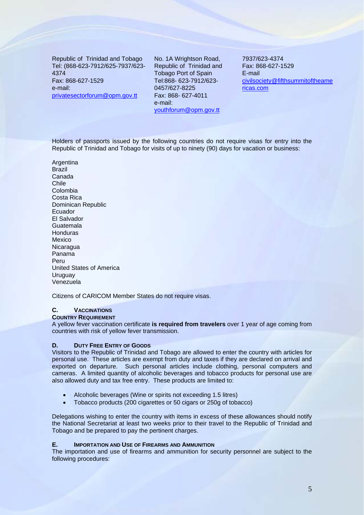Republic of Trinidad and Tobago Tel: (868-623-7912/625-7937/623- 4374 Fax: 868-627-1529 e-mail: [privatesectorforum@opm.gov.tt](mailto:privatesectorforum@opm.gov.tt) 

No. 1A Wrightson Road, Republic of Trinidad and Tobago Port of Spain Tel:868- 623-7912/623- 0457/627-8225 Fax: 868- 627-4011 e-mail: youthforum@opm.gov.tt

7937/623-4374 Fax: 868-627-1529 E-mail civi[lsociety@fifthsummitoftheame](mailto:society@fifthsummitoftheamericas.com) [ricas.com](mailto:society@fifthsummitoftheamericas.com)

Holders of passports issued by the following countries do not require visas for entry into the Republic of Trinidad and Tobago for visits of up to ninety (90) days for vacation or business:

**Argentina** Brazil Canada Chile Colombia Costa Rica Dominican Republic Ecuador El Salvador Guatemala Honduras Mexico Nicaragua Panama Peru United States of America Uruguay Venezuela

Citizens of CARICOM Member States do not require visas.

# **C. VACCINATIONS**

**COUNTRY REQUIREMENT**

A yellow fever vaccination certificate **is required from travelers** over 1 year of age coming from countries with risk of yellow fever transmission.

# **D. DUTY FREE ENTRY OF GOODS**

Visitors to the Republic of Trinidad and Tobago are allowed to enter the country with articles for personal use. These articles are exempt from duty and taxes if they are declared on arrival and exported on departure. Such personal articles include clothing, personal computers and cameras. A limited quantity of alcoholic beverages and tobacco products for personal use are also allowed duty and tax free entry. These products are limited to:

- Alcoholic beverages (Wine or spirits not exceeding 1.5 litres)
- Tobacco products (200 cigarettes or 50 cigars or 250g of tobacco)

Delegations wishing to enter the country with items in excess of these allowances should notify the National Secretariat at least two weeks prior to their travel to the Republic of Trinidad and Tobago and be prepared to pay the pertinent charges.

# **E. IMPORTATION AND USE OF FIREARMS AND AMMUNITION**

The importation and use of firearms and ammunition for security personnel are subject to the following procedures: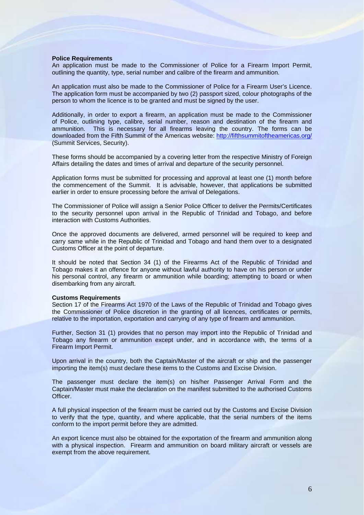### **Police Requirements**

An application must be made to the Commissioner of Police for a Firearm Import Permit, outlining the quantity, type, serial number and calibre of the firearm and ammunition.

An application must also be made to the Commissioner of Police for a Firearm User's Licence. The application form must be accompanied by two (2) passport sized, colour photographs of the person to whom the licence is to be granted and must be signed by the user.

Additionally, in order to export a firearm, an application must be made to the Commissioner of Police, outlining type, calibre, serial number, reason and destination of the firearm and ammunition. This is necessary for all firearms leaving the country. The forms can be downloaded from the Fifth Summit of the Americas website: <http://fifthsummitoftheamericas.org/> (Summit Services, Security).

These forms should be accompanied by a covering letter from the respective Ministry of Foreign Affairs detailing the dates and times of arrival and departure of the security personnel.

Application forms must be submitted for processing and approval at least one (1) month before the commencement of the Summit. It is advisable, however, that applications be submitted earlier in order to ensure processing before the arrival of Delegations.

The Commissioner of Police will assign a Senior Police Officer to deliver the Permits/Certificates to the security personnel upon arrival in the Republic of Trinidad and Tobago, and before interaction with Customs Authorities.

Once the approved documents are delivered, armed personnel will be required to keep and carry same while in the Republic of Trinidad and Tobago and hand them over to a designated Customs Officer at the point of departure.

It should be noted that Section 34 (1) of the Firearms Act of the Republic of Trinidad and Tobago makes it an offence for anyone without lawful authority to have on his person or under his personal control, any firearm or ammunition while boarding; attempting to board or when disembarking from any aircraft.

### **Customs Requirements**

Section 17 of the Firearms Act 1970 of the Laws of the Republic of Trinidad and Tobago gives the Commissioner of Police discretion in the granting of all licences, certificates or permits, relative to the importation, exportation and carrying of any type of firearm and ammunition.

Further, Section 31 (1) provides that no person may import into the Republic of Trinidad and Tobago any firearm or ammunition except under, and in accordance with, the terms of a Firearm Import Permit.

Upon arrival in the country, both the Captain/Master of the aircraft or ship and the passenger importing the item(s) must declare these items to the Customs and Excise Division.

The passenger must declare the item(s) on his/her Passenger Arrival Form and the Captain/Master must make the declaration on the manifest submitted to the authorised Customs Officer.

A full physical inspection of the firearm must be carried out by the Customs and Excise Division to verify that the type, quantity, and where applicable, that the serial numbers of the items conform to the import permit before they are admitted.

An export licence must also be obtained for the exportation of the firearm and ammunition along with a physical inspection. Firearm and ammunition on board military aircraft or vessels are exempt from the above requirement.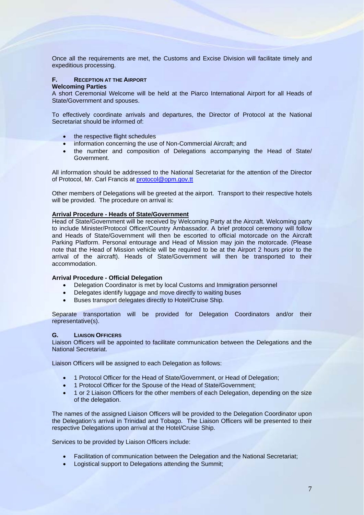Once all the requirements are met, the Customs and Excise Division will facilitate timely and expeditious processing.

# **F. RECEPTION AT THE AIRPORT**

# **Welcoming Parties**

A short Ceremonial Welcome will be held at the Piarco International Airport for all Heads of State/Government and spouses.

To effectively coordinate arrivals and departures, the Director of Protocol at the National Secretariat should be informed of:

- the respective flight schedules
- information concerning the use of Non-Commercial Aircraft; and
- the number and composition of Delegations accompanying the Head of State/ Government.

All information should be addressed to the National Secretariat for the attention of the Director of Protocol, Mr. Carl Francis at [protocol@opm.gov.tt](mailto:protocol@opm.gov.tt)

Other members of Delegations will be greeted at the airport. Transport to their respective hotels will be provided. The procedure on arrival is:

# **Arrival Procedure - Heads of State/Government**

Head of State/Government will be received by Welcoming Party at the Aircraft. Welcoming party to include Minister/Protocol Officer/Country Ambassador. A brief protocol ceremony will follow and Heads of State/Government will then be escorted to official motorcade on the Aircraft Parking Platform. Personal entourage and Head of Mission may join the motorcade. (Please note that the Head of Mission vehicle will be required to be at the Airport 2 hours prior to the arrival of the aircraft). Heads of State/Government will then be transported to their accommodation.

# **Arrival Procedure - Official Delegation**

- Delegation Coordinator is met by local Customs and Immigration personnel
- Delegates identify luggage and move directly to waiting buses
- Buses transport delegates directly to Hotel/Cruise Ship.

Separate transportation will be provided for Delegation Coordinators and/or their representative(s).

# **G. LIAISON OFFICERS**

Liaison Officers will be appointed to facilitate communication between the Delegations and the National Secretariat.

Liaison Officers will be assigned to each Delegation as follows:

- 1 Protocol Officer for the Head of State/Government, or Head of Delegation;
- 1 Protocol Officer for the Spouse of the Head of State/Government;
- 1 or 2 Liaison Officers for the other members of each Delegation, depending on the size of the delegation.

The names of the assigned Liaison Officers will be provided to the Delegation Coordinator upon the Delegation's arrival in Trinidad and Tobago. The Liaison Officers will be presented to their respective Delegations upon arrival at the Hotel/Cruise Ship.

Services to be provided by Liaison Officers include:

- Facilitation of communication between the Delegation and the National Secretariat;
- Logistical support to Delegations attending the Summit: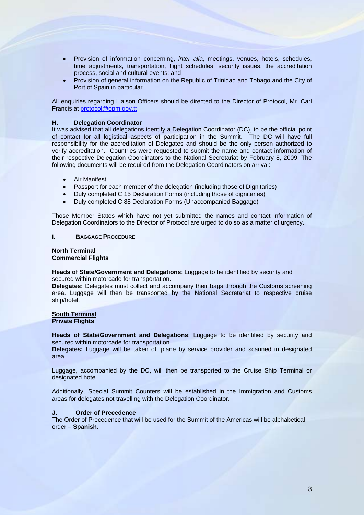- Provision of information concerning, *inter alia*, meetings, venues, hotels, schedules, time adjustments, transportation, flight schedules, security issues, the accreditation process, social and cultural events; and
- Provision of general information on the Republic of Trinidad and Tobago and the City of Port of Spain in particular.

All enquiries regarding Liaison Officers should be directed to the Director of Protocol, Mr. Carl Francis at [protocol@opm.gov.tt](mailto:protocol@opm.gov.tt)

# **H. Delegation Coordinator**

It was advised that all delegations identify a Delegation Coordinator (DC), to be the official point of contact for all logistical aspects of participation in the Summit. The DC will have full responsibility for the accreditation of Delegates and should be the only person authorized to verify accreditation. Countries were requested to submit the name and contact information of their respective Delegation Coordinators to the National Secretariat by February 8, 2009. The following documents will be required from the Delegation Coordinators on arrival:

- Air Manifest
- Passport for each member of the delegation (including those of Dignitaries)
- Duly completed C 15 Declaration Forms (including those of dignitaries)
- Duly completed C 88 Declaration Forms (Unaccompanied Baggage)

Those Member States which have not yet submitted the names and contact information of Delegation Coordinators to the Director of Protocol are urged to do so as a matter of urgency.

### **I. BAGGAGE PROCEDURE**

### **North Terminal Commercial Flights**

**Heads of State/Government and Delegations**: Luggage to be identified by security and secured within motorcade for transportation.

**Delegates:** Delegates must collect and accompany their bags through the Customs screening area. Luggage will then be transported by the National Secretariat to respective cruise ship/hotel.

### **South Terminal Private Flights**

**Heads of State/Government and Delegations**: Luggage to be identified by security and secured within motorcade for transportation.

**Delegates:** Luggage will be taken off plane by service provider and scanned in designated area.

Luggage, accompanied by the DC, will then be transported to the Cruise Ship Terminal or designated hotel.

Additionally, Special Summit Counters will be established in the Immigration and Customs areas for delegates not travelling with the Delegation Coordinator.

# **J. Order of Precedence**

The Order of Precedence that will be used for the Summit of the Americas will be alphabetical order – **Spanish.**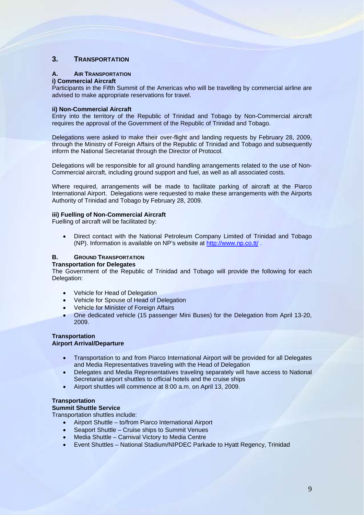# **3. TRANSPORTATION**

# **A. AIR TRANSPORTATION**

# **i) Commercial Aircraft**

Participants in the Fifth Summit of the Americas who will be travelling by commercial airline are advised to make appropriate reservations for travel.

# **ii) Non-Commercial Aircraft**

Entry into the territory of the Republic of Trinidad and Tobago by Non-Commercial aircraft requires the approval of the Government of the Republic of Trinidad and Tobago.

Delegations were asked to make their over-flight and landing requests by February 28, 2009, through the Ministry of Foreign Affairs of the Republic of Trinidad and Tobago and subsequently inform the National Secretariat through the Director of Protocol.

Delegations will be responsible for all ground handling arrangements related to the use of Non-Commercial aircraft, including ground support and fuel, as well as all associated costs.

Where required, arrangements will be made to facilitate parking of aircraft at the Piarco International Airport. Delegations were requested to make these arrangements with the Airports Authority of Trinidad and Tobago by February 28, 2009.

# **iii) Fuelling of Non-Commercial Aircraft**

Fuelling of aircraft will be facilitated by:

• Direct contact with the National Petroleum Company Limited of Trinidad and Tobago (NP). Information is available on NP's website at <http://www.np.co.tt/>.

### **B. GROUND TRANSPORTATION Transportation for Delegates**

The Government of the Republic of Trinidad and Tobago will provide the following for each Delegation:

- Vehicle for Head of Delegation
- Vehicle for Spouse of Head of Delegation
- Vehicle for Minister of Foreign Affairs
- One dedicated vehicle (15 passenger Mini Buses) for the Delegation from April 13-20, 2009.

# **Transportation Airport Arrival/Departure**

- Transportation to and from Piarco International Airport will be provided for all Delegates and Media Representatives traveling with the Head of Delegation
- Delegates and Media Representatives traveling separately will have access to National Secretariat airport shuttles to official hotels and the cruise ships
- Airport shuttles will commence at 8:00 a.m. on April 13, 2009.

# **Transportation**

# **Summit Shuttle Service**

Transportation shuttles include:

- Airport Shuttle to/from Piarco International Airport
- Seaport Shuttle Cruise ships to Summit Venues
- Media Shuttle Carnival Victory to Media Centre
- Event Shuttles National Stadium/NIPDEC Parkade to Hyatt Regency, Trinidad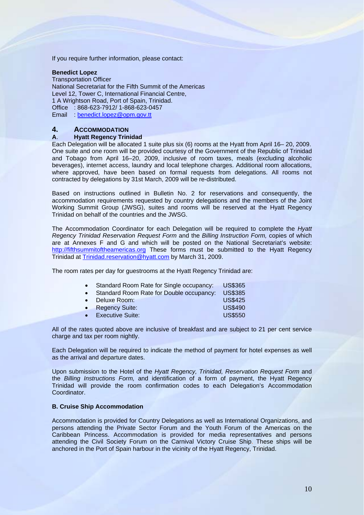If you require further information, please contact:

# **Benedict Lopez**

Transportation Officer National Secretariat for the Fifth Summit of the Americas Level 12, Tower C, International Financial Centre, 1 A Wrightson Road, Port of Spain, Trinidad. Office : 868-623-7912/ 1-868-623-0457 Email benedict.lopez@opm.gov.tt

# **4. ACCOMMODATION**

# **A**. **Hyatt Regency Trinidad**

Each Delegation will be allocated 1 suite plus six (6) rooms at the Hyatt from April 16– 20, 2009. One suite and one room will be provided courtesy of the Government of the Republic of Trinidad and Tobago from April 16–20, 2009, inclusive of room taxes, meals (excluding alcoholic beverages), internet access, laundry and local telephone charges. Additional room allocations, where approved, have been based on formal requests from delegations. All rooms not contracted by delegations by 31st March, 2009 will be re-distributed.

Based on instructions outlined in Bulletin No. 2 for reservations and consequently, the accommodation requirements requested by country delegations and the members of the Joint Working Summit Group (JWSG), suites and rooms will be reserved at the Hyatt Regency Trinidad on behalf of the countries and the JWSG.

The Accommodation Coordinator for each Delegation will be required to complete the *Hyatt Regency Trinidad Reservation Request Form* and the *Billing Instruction Form,* copies of which are at Annexes F and G and which will be posted on the National Secretariat's website: [http://fifthsummitoftheamericas.org](http://fifthsummitoftheamericas.org/) These forms must be submitted to the Hyatt Regency Trinidad at [Trinidad.reservation@hyatt.com](mailto:Trinidad.reservation@hyatt.com) by March 31, 2009.

The room rates per day for guestrooms at the Hyatt Regency Trinidad are:

|  |  | Standard Room Rate for Single occupancy: | <b>US\$365</b> |
|--|--|------------------------------------------|----------------|
|--|--|------------------------------------------|----------------|

|  | Standard Room Rate for Double occupancy: |  |  | <b>US\$385</b> |
|--|------------------------------------------|--|--|----------------|
|--|------------------------------------------|--|--|----------------|

| $\bullet$ | Deluxe Room:          | <b>US\$425</b> |
|-----------|-----------------------|----------------|
| $\bullet$ | <b>Regency Suite:</b> | US\$490        |

• Executive Suite: US\$550

All of the rates quoted above are inclusive of breakfast and are subject to 21 per cent service charge and tax per room nightly.

Each Delegation will be required to indicate the method of payment for hotel expenses as well as the arrival and departure dates.

Upon submission to the Hotel of the *Hyatt Regency, Trinidad, Reservation Request Form* and the *Billing Instructions Form,* and identification of a form of payment, the Hyatt Regency Trinidad will provide the room confirmation codes to each Delegation's Accommodation Coordinator.

# **B. Cruise Ship Accommodation**

Accommodation is provided for Country Delegations as well as International Organizations, and persons attending the Private Sector Forum and the Youth Forum of the Americas on the Caribbean Princess. Accommodation is provided for media representatives and persons attending the Civil Society Forum on the Carnival Victory Cruise Ship. These ships will be anchored in the Port of Spain harbour in the vicinity of the Hyatt Regency, Trinidad.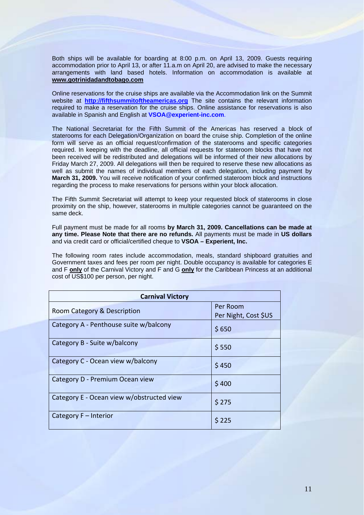Both ships will be available for boarding at 8:00 p.m. on April 13, 2009. Guests requiring accommodation prior to April 13, or after 11.a.m on April 20, are advised to make the necessary arrangements with land based hotels. Information on accommodation is available at **[www.gotrinidadandtobago.com](http://www.gotrinidadandtobago.com/)**

Online reservations for the cruise ships are available via the Accommodation link on the Summit website at **[http://fifthsummitoftheamericas.](http://fifthsummitoftheamericas./)org** The site contains the relevant information required to make a reservation for the cruise ships. Online assistance for reservations is also available in Spanish and English at **[VSOA@experient-inc.com](mailto:VSOA@experient-inc.com)**.

The National Secretariat for the Fifth Summit of the Americas has reserved a block of staterooms for each Delegation/Organization on board the cruise ship. Completion of the online form will serve as an official request/confirmation of the staterooms and specific categories required. In keeping with the deadline, all official requests for stateroom blocks that have not been received will be redistributed and delegations will be informed of their new allocations by Friday March 27, 2009. All delegations will then be required to reserve these new allocations as well as submit the names of individual members of each delegation, including payment by **March 31, 2009.** You will receive notification of your confirmed stateroom block and instructions regarding the process to make reservations for persons within your block allocation.

The Fifth Summit Secretariat will attempt to keep your requested block of staterooms in close proximity on the ship, however, staterooms in multiple categories cannot be guaranteed on the same deck.

Full payment must be made for all rooms **by March 31, 2009. Cancellations can be made at any time. Please Note that there are no refunds.** All payments must be made in **US dollars** and via credit card or official/certified cheque to **VSOA – Experient, Inc.** 

The following room rates include accommodation, meals, standard shipboard gratuities and Government taxes and fees per room per night. Double occupancy is available for categories E and F **only** of the Carnival Victory and F and G **only** for the Caribbean Princess at an additional cost of US\$100 per person, per night.

| <b>Carnival Victory</b>                   |                                  |  |
|-------------------------------------------|----------------------------------|--|
| Room Category & Description               | Per Room<br>Per Night, Cost \$US |  |
| Category A - Penthouse suite w/balcony    | \$650                            |  |
| Category B - Suite w/balcony              | \$550                            |  |
| Category C - Ocean view w/balcony         | \$450                            |  |
| Category D - Premium Ocean view           | \$400                            |  |
| Category E - Ocean view w/obstructed view | \$275                            |  |
| Category F - Interior                     | \$225                            |  |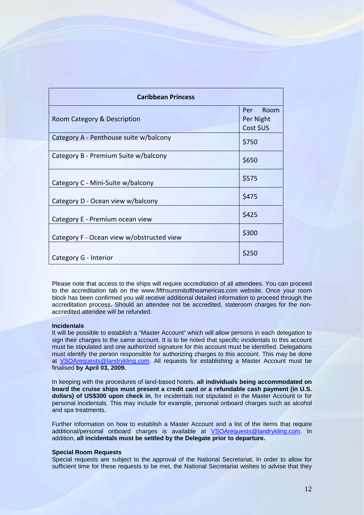| <b>Caribbean Princess</b>                 |                                       |
|-------------------------------------------|---------------------------------------|
| Room Category & Description               | Room<br>Per<br>Per Night<br>Cost \$US |
| Category A - Penthouse suite w/balcony    | \$750                                 |
| Category B - Premium Suite w/balcony      | \$650                                 |
| Category C - Mini-Suite w/balcony         | \$575                                 |
| Category D - Ocean view w/balcony         | \$475                                 |
| Category E - Premium ocean view           | \$425                                 |
| Category F - Ocean view w/obstructed view | \$300                                 |
| Category G - Interior                     | \$250                                 |

Please note that access to the ships will require accreditation of all attendees. You can proceed to the accreditation tab on the www.fifthsummitoftheamericas.com website. Once your room block has been confirmed you will receive additional detailed information to proceed through the accreditation process. Should an attendee not be accredited, stateroom charges for the nonaccredited attendee will be refunded.

### **Incidentals**

It will be possible to establish a "Master Account" which will allow persons in each delegation to sign their charges to the same account. It is to be noted that specific incidentals to this account must be stipulated and one authorized signature for this account must be identified. Delegations must identify the person responsible for authorizing charges to this account. This may be done at [VSOArequests@landrykling.com](mailto:VSOArequests@landrykling.com). All requests for establishing a Master Account must be finalised **by April 03, 2009.**

In keeping with the procedures of land-based hotels, **all individuals being accommodated on board the cruise ships must present a credit card or a refundable cash payment (in U.S. dollars) of US\$300 upon check in**, for incidentals not stipulated in the Master Account or for personal incidentals. This may include for example, personal onboard charges such as alcohol and spa treatments.

Further information on how to establish a Master Account and a list of the items that require additional/personal onboard charges is available at [VSOArequests@landrykling.com](mailto:VSOArequests@landrykling.com). In addition, **all incidentals must be settled by the Delegate prior to departure.** 

### **Special Room Requests**

Special requests are subject to the approval of the National Secretariat. In order to allow for sufficient time for these requests to be met, the National Secretariat wishes to advise that they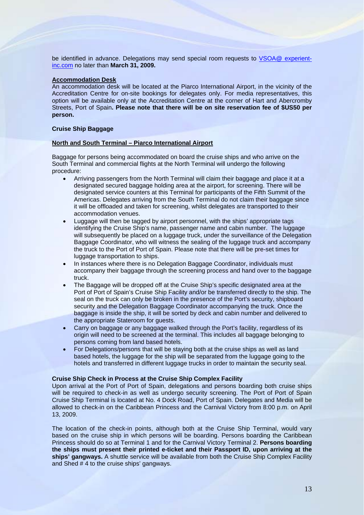be identified in advance. Delegations may send special room requests to [VSOA@ experient](mailto:VSOArequests@landrykling.com)[inc.com](mailto:VSOArequests@landrykling.com) no later than **March 31, 2009.** 

# **Accommodation Desk**

An accommodation desk will be located at the Piarco International Airport, in the vicinity of the Accreditation Centre for on-site bookings for delegates only. For media representatives, this option will be available only at the Accreditation Centre at the corner of Hart and Abercromby Streets, Port of Spain**. Please note that there will be on site reservation fee of \$US50 per person.** 

# **Cruise Ship Baggage**

# **North and South Terminal – Piarco International Airport**

Baggage for persons being accommodated on board the cruise ships and who arrive on the South Terminal and commercial flights at the North Terminal will undergo the following procedure:

- Arriving passengers from the North Terminal will claim their baggage and place it at a designated secured baggage holding area at the airport, for screening. There will be designated service counters at this Terminal for participants of the Fifth Summit of the Americas. Delegates arriving from the South Terminal do not claim their baggage since it will be offloaded and taken for screening, whilst delegates are transported to their accommodation venues.
- Luggage will then be tagged by airport personnel, with the ships' appropriate tags identifying the Cruise Ship's name, passenger name and cabin number. The luggage will subsequently be placed on a luggage truck, under the surveillance of the Delegation Baggage Coordinator, who will witness the sealing of the luggage truck and accompany the truck to the Port of Port of Spain. Please note that there will be pre-set times for luggage transportation to ships.
- In instances where there is no Delegation Baggage Coordinator, individuals must accompany their baggage through the screening process and hand over to the baggage truck.
- The Baggage will be dropped off at the Cruise Ship's specific designated area at the Port of Port of Spain's Cruise Ship Facility and/or be transferred directly to the ship. The seal on the truck can only be broken in the presence of the Port's security, shipboard security and the Delegation Baggage Coordinator accompanying the truck. Once the baggage is inside the ship, it will be sorted by deck and cabin number and delivered to the appropriate Stateroom for guests.
- Carry on baggage or any baggage walked through the Port's facility, regardless of its origin will need to be screened at the terminal. This includes all baggage belonging to persons coming from land based hotels.
- For Delegations/persons that will be staying both at the cruise ships as well as land based hotels, the luggage for the ship will be separated from the luggage going to the hotels and transferred in different luggage trucks in order to maintain the security seal.

### **Cruise Ship Check in Process at the Cruise Ship Complex Facility**

Upon arrival at the Port of Port of Spain, delegations and persons boarding both cruise ships will be required to check-in as well as undergo security screening. The Port of Port of Spain Cruise Ship Terminal is located at No. 4 Dock Road, Port of Spain. Delegates and Media will be allowed to check‐in on the Caribbean Princess and the Carnival Victory from 8:00 p.m. on April 13, 2009.

The location of the check-in points, although both at the Cruise Ship Terminal, would vary based on the cruise ship in which persons will be boarding. Persons boarding the Caribbean Princess should do so at Terminal 1 and for the Carnival Victory Terminal 2. **Persons boarding the ships must present their printed e-ticket and their Passport ID, upon arriving at the ships' gangways.** A shuttle service will be available from both the Cruise Ship Complex Facility and Shed # 4 to the cruise ships' gangways.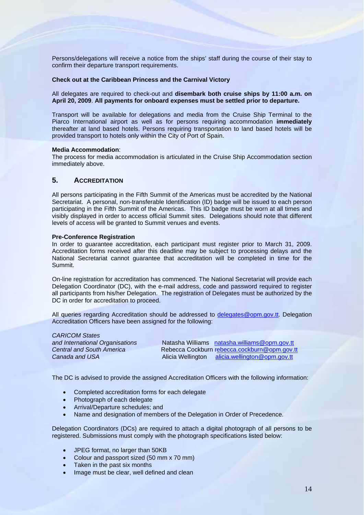Persons/delegations will receive a notice from the ships' staff during the course of their stay to confirm their departure transport requirements.

# **Check out at the Caribbean Princess and the Carnival Victory**

All delegates are required to check-out and **disembark both cruise ships by 11:00 a.m. on April 20, 2009**. **All payments for onboard expenses must be settled prior to departure.**

Transport will be available for delegations and media from the Cruise Ship Terminal to the Piarco International airport as well as for persons requiring accommodation **immediately** thereafter at land based hotels. Persons requiring transportation to land based hotels will be provided transport to hotels only within the City of Port of Spain.

### **Media Accommodation**:

The process for media accommodation is articulated in the Cruise Ship Accommodation section immediately above.

# **5. ACCREDITATION**

All persons participating in the Fifth Summit of the Americas must be accredited by the National Secretariat. A personal, non-transferable Identification (ID) badge will be issued to each person participating in the Fifth Summit of the Americas. This ID badge must be worn at all times and visibly displayed in order to access official Summit sites. Delegations should note that different levels of access will be granted to Summit venues and events.

# **Pre-Conference Registration**

In order to guarantee accreditation, each participant must register prior to March 31, 2009. Accreditation forms received after this deadline may be subject to processing delays and the National Secretariat cannot guarantee that accreditation will be completed in time for the Summit.

On-line registration for accreditation has commenced. The National Secretariat will provide each Delegation Coordinator (DC), with the e-mail address, code and password required to register all participants from his/her Delegation. The registration of Delegates must be authorized by the DC in order for accreditation to proceed.

All queries regarding Accreditation should be addressed to [delegates@opm.gov.tt.](mailto:delegates@opm.gov.tt) Delegation Accreditation Officers have been assigned for the following:

| <b>CARICOM States</b>            |  |
|----------------------------------|--|
| and International Organisations  |  |
| <b>Central and South America</b> |  |
| Canada and USA                   |  |

**Natasha Williams** [natasha.williams@opm.gov.tt](mailto:natasha.williams@opm.gov.tt) *Central and South America* Rebecca Cockburn r[ebecca.cockburn@opm.gov.tt](mailto:ebecca.cockburn@opm.gov.tt) Alicia Wellington [alicia.wellington@opm.gov.tt](mailto:alicia.wellington@opm.gov.tt)

The DC is advised to provide the assigned Accreditation Officers with the following information:

- Completed accreditation forms for each delegate
- **Photograph of each delegate**
- Arrival/Departure schedules; and
- Name and designation of members of the Delegation in Order of Precedence.

Delegation Coordinators (DCs) are required to attach a digital photograph of all persons to be registered. Submissions must comply with the photograph specifications listed below:

- JPEG format, no larger than 50KB
- Colour and passport sized (50 mm x 70 mm)
- Taken in the past six months
- Image must be clear, well defined and clean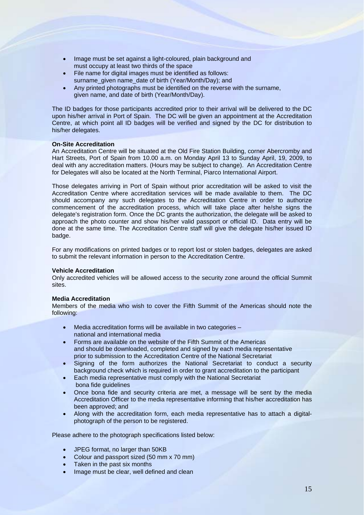- Image must be set against a light-coloured, plain background and must occupy at least two thirds of the space
- File name for digital images must be identified as follows: surname\_given name\_date of birth (Year/Month/Day); and
- Any printed photographs must be identified on the reverse with the surname, given name, and date of birth (Year/Month/Day).

The ID badges for those participants accredited prior to their arrival will be delivered to the DC upon his/her arrival in Port of Spain. The DC will be given an appointment at the Accreditation Centre, at which point all ID badges will be verified and signed by the DC for distribution to his/her delegates.

# **On-Site Accreditation**

An Accreditation Centre will be situated at the Old Fire Station Building, corner Abercromby and Hart Streets, Port of Spain from 10.00 a.m. on Monday April 13 to Sunday April, 19, 2009, to deal with any accreditation matters. (Hours may be subject to change). An Accreditation Centre for Delegates will also be located at the North Terminal, Piarco International Airport.

Those delegates arriving in Port of Spain without prior accreditation will be asked to visit the Accreditation Centre where accreditation services will be made available to them. The DC should accompany any such delegates to the Accreditation Centre in order to authorize commencement of the accreditation process, which will take place after he/she signs the delegate's registration form. Once the DC grants the authorization, the delegate will be asked to approach the photo counter and show his/her valid passport or official ID. Data entry will be done at the same time. The Accreditation Centre staff will give the delegate his/her issued ID badge.

For any modifications on printed badges or to report lost or stolen badges, delegates are asked to submit the relevant information in person to the Accreditation Centre.

## **Vehicle Accreditation**

Only accredited vehicles will be allowed access to the security zone around the official Summit sites.

### **Media Accreditation**

Members of the media who wish to cover the Fifth Summit of the Americas should note the following:

- Media accreditation forms will be available in two categories national and international media
- Forms are available on the website of the Fifth Summit of the Americas and should be downloaded, completed and signed by each media representative prior to submission to the Accreditation Centre of the National Secretariat
- Signing of the form authorizes the National Secretariat to conduct a security background check which is required in order to grant accreditation to the participant
- Each media representative must comply with the National Secretariat bona fide guidelines
- Once bona fide and security criteria are met, a message will be sent by the media Accreditation Officer to the media representative informing that his/her accreditation has been approved; and
- Along with the accreditation form, each media representative has to attach a digitalphotograph of the person to be registered.

Please adhere to the photograph specifications listed below:

- JPEG format, no larger than 50KB
- Colour and passport sized (50 mm x 70 mm)
- Taken in the past six months
- Image must be clear, well defined and clean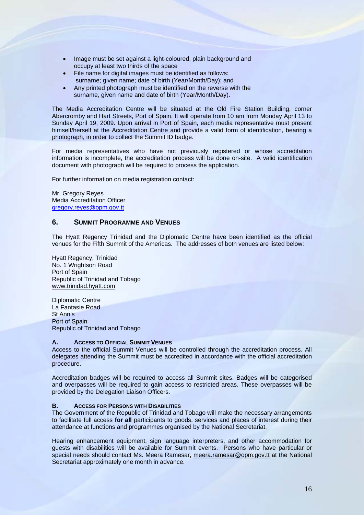- Image must be set against a light-coloured, plain background and occupy at least two thirds of the space
- File name for digital images must be identified as follows: surname; given name; date of birth (Year/Month/Day); and
- Any printed photograph must be identified on the reverse with the surname, given name and date of birth (Year/Month/Day).

The Media Accreditation Centre will be situated at the Old Fire Station Building, corner Abercromby and Hart Streets, Port of Spain. It will operate from 10 am from Monday April 13 to Sunday April 19, 2009. Upon arrival in Port of Spain, each media representative must present himself/herself at the Accreditation Centre and provide a valid form of identification, bearing a photograph, in order to collect the Summit ID badge.

For media representatives who have not previously registered or whose accreditation information is incomplete, the accreditation process will be done on-site. A valid identification document with photograph will be required to process the application.

For further information on media registration contact:

Mr. Gregory Reyes Media Accreditation Officer gregory.reyes@opm.gov.tt

# **6. SUMMIT PROGRAMME AND VENUES**

The Hyatt Regency Trinidad and the Diplomatic Centre have been identified as the official venues for the Fifth Summit of the Americas. The addresses of both venues are listed below:

Hyatt Regency, Trinidad No. 1 Wrightson Road Port of Spain Republic of Trinidad and Tobago [www.trinidad.hyatt.com](http://www.trinidad.hyatt.com/)

Diplomatic Centre La Fantasie Road St Ann's Port of Spain Republic of Trinidad and Tobago

# **A. ACCESS TO OFFICIAL SUMMIT VENUES**

Access to the official Summit Venues will be controlled through the accreditation process. All delegates attending the Summit must be accredited in accordance with the official accreditation procedure.

Accreditation badges will be required to access all Summit sites. Badges will be categorised and overpasses will be required to gain access to restricted areas. These overpasses will be provided by the Delegation Liaison Officers.

# **B. ACCESS FOR PERSONS WITH DISABILITIES**

The Government of the Republic of Trinidad and Tobago will make the necessary arrangements to facilitate full access **for all** participants to goods, services and places of interest during their attendance at functions and programmes organised by the National Secretariat.

Hearing enhancement equipment, sign language interpreters, and other accommodation for guests with disabilities will be available for Summit events. Persons who have particular or special needs should contact Ms. Meera Ramesar, [meera.ramesar@opm.gov.tt](mailto:meera.ramesar@opm.gov.tt) at the National Secretariat approximately one month in advance.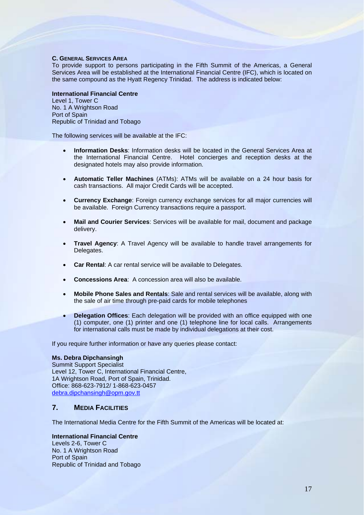# **C. GENERAL SERVICES AREA**

To provide support to persons participating in the Fifth Summit of the Americas, a General Services Area will be established at the International Financial Centre (IFC), which is located on the same compound as the Hyatt Regency Trinidad. The address is indicated below:

# **International Financial Centre**

Level 1, Tower C No. 1 A Wrightson Road Port of Spain Republic of Trinidad and Tobago

The following services will be available at the IFC:

- **Information Desks**: Information desks will be located in the General Services Area at the International Financial Centre. Hotel concierges and reception desks at the designated hotels may also provide information.
- **Automatic Teller Machines** (ATMs): ATMs will be available on a 24 hour basis for cash transactions. All major Credit Cards will be accepted.
- **Currency Exchange**: Foreign currency exchange services for all major currencies will be available. Foreign Currency transactions require a passport.
- **Mail and Courier Services**: Services will be available for mail, document and package delivery.
- **Travel Agency:** A Travel Agency will be available to handle travel arrangements for Delegates.
- **Car Rental**: A car rental service will be available to Delegates.
- **Concessions Area**: A concession area will also be available.
- **Mobile Phone Sales and Rentals**: Sale and rental services will be available, along with the sale of air time through pre-paid cards for mobile telephones
- **Delegation Offices**: Each delegation will be provided with an office equipped with one (1) computer, one (1) printer and one (1) telephone line for local calls. Arrangements for international calls must be made by individual delegations at their cost.

If you require further information or have any queries please contact:

# **Ms. Debra Dipchansingh**

Summit Support Specialist Level 12, Tower C, International Financial Centre, 1A Wrightson Road, Port of Spain, Trinidad. Office: 868-623-7912/ 1-868-623-0457 [debra.dipchansingh@opm.gov.tt](mailto:debra.dipchansingh@opm.gov.tt)

# **7. MEDIA FACILITIES**

The International Media Centre for the Fifth Summit of the Americas will be located at:

# **International Financial Centre**

Levels 2-6, Tower C No. 1 A Wrightson Road Port of Spain Republic of Trinidad and Tobago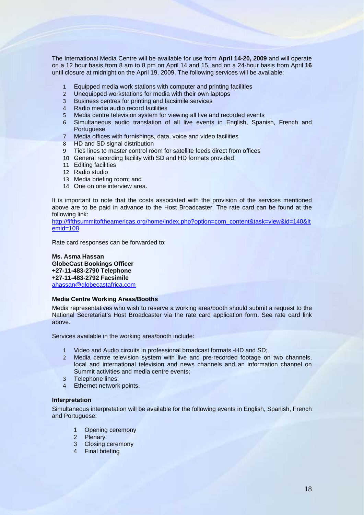The International Media Centre will be available for use from **April 14-20, 2009** and will operate on a 12 hour basis from 8 am to 8 pm on April 14 and 15, and on a 24-hour basis from April **16**  until closure at midnight on the April 19, 2009. The following services will be available:

- 1 Equipped media work stations with computer and printing facilities
- 2 Unequipped workstations for media with their own laptops
- 3 Business centres for printing and facsimile services
- 4 Radio media audio record facilities
- 5 Media centre television system for viewing all live and recorded events
- 6 Simultaneous audio translation of all live events in English, Spanish, French and Portuguese
- 7 Media offices with furnishings, data, voice and video facilities
- 8 HD and SD signal distribution
- 9 Ties lines to master control room for satellite feeds direct from offices
- 10 General recording facility with SD and HD formats provided
- 11 Editing facilities
- 12 Radio studio
- 13 Media briefing room; and
- 14 One on one interview area.

It is important to note that the costs associated with the provision of the services mentioned above are to be paid in advance to the Host Broadcaster. The rate card can be found at the following link:

http://fifthsummitoftheamericas.org/home/index.php?option=com\_content&task=view&id=140&It emid=108

Rate card responses can be forwarded to:

# **Ms. Asma Hassan GlobeCast Bookings Officer +27-11-483-2790 Telephone +27-11-483-2792 Facsimile**  [ahassan@globecastafrica.com](mailto:ahassan@globecastafrica.com)

# **Media Centre Working Areas/Booths**

Media representatives who wish to reserve a working area/booth should submit a request to the National Secretariat's Host Broadcaster via the rate card application form. See rate card link above.

Services available in the working area/booth include:

- 1 Video and Audio circuits in professional broadcast formats -HD and SD;
- 2 Media centre television system with live and pre-recorded footage on two channels, local and international television and news channels and an information channel on Summit activities and media centre events;
- 3 Telephone lines;
- 4 Ethernet network points.

# **Interpretation**

Simultaneous interpretation will be available for the following events in English, Spanish, French and Portuguese:

- 1 Opening ceremony
- 2 Plenary
- 3 Closing ceremony
- 4 Final briefing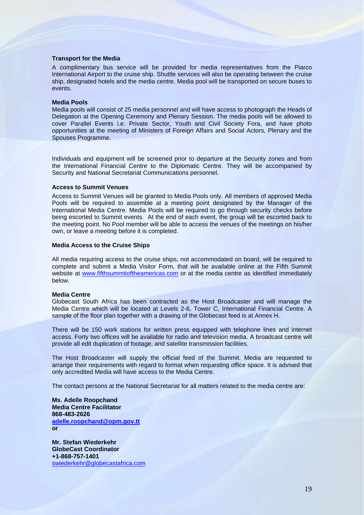## **Transport for the Media**

A complimentary bus service will be provided for media representatives from the Piarco International Airport to the cruise ship. Shuttle services will also be operating between the cruise ship, designated hotels and the media centre. Media pool will be transported on secure buses to events.

### **Media Pools**

Media pools will consist of 25 media personnel and will have access to photograph the Heads of Delegation at the Opening Ceremony and Plenary Session. The media pools will be allowed to cover Parallel Events i.e. Private Sector, Youth and Civil Society Fora, and have photo opportunities at the meeting of Ministers of Foreign Affairs and Social Actors, Plenary and the Spouses Programme.

Individuals and equipment will be screened prior to departure at the Security zones and from the International Financial Centre to the Diplomatic Centre. They will be accompanied by Security and National Secretariat Communications personnel.

# **Access to Summit Venues**

Access to Summit Venues will be granted to Media Pools only. All members of approved Media Pools will be required to assemble at a meeting point designated by the Manager of the International Media Centre. Media Pools will be required to go through security checks before being escorted to Summit events. At the end of each event, the group will be escorted back to the meeting point. No Pool member will be able to access the venues of the meetings on his/her own, or leave a meeting before it is completed.

### **Media Access to the Cruise Ships**

All media requiring access to the cruise ships, not accommodated on board, will be required to complete and submit a Media Visitor Form, that will be available online at the Fifth Summit website at [www.fifthsummitoftheamericas.com](http://www.fifthsummitoftheamericas.com/) or at the media centre as identified immediately below.

### **Media Centre**

Globecast South Africa has been contracted as the Host Broadcaster and will manage the Media Centre which will be located at Levels 2-6, Tower C, International Financial Centre. A sample of the floor plan together with a drawing of the Globecast feed is at Annex H.

There will be 150 work stations for written press equipped with telephone lines and internet access. Forty two offices will be available for radio and television media. A broadcast centre will provide all edit duplication of footage, and satellite transmission facilities.

The Host Broadcaster will supply the official feed of the Summit. Media are requested to arrange their requirements with regard to format when requesting office space. It is advised that only accredited Media will have access to the Media Centre.

The contact persons at the National Secretariat for all matters related to the media centre are:

**Ms. Adelle Roopchand Media Centre Facilitator 868-483-2626 [adelle.roopchand@opm.gov.tt](mailto:adelle.roopchand@opm.gov.tt) or** 

**Mr. Stefan Wiederkehr GlobeCast Coordinator +1-868-757-1401**  [swiederkehr@globecastafrica.com](mailto:swiederkehr@globecastafrica.com)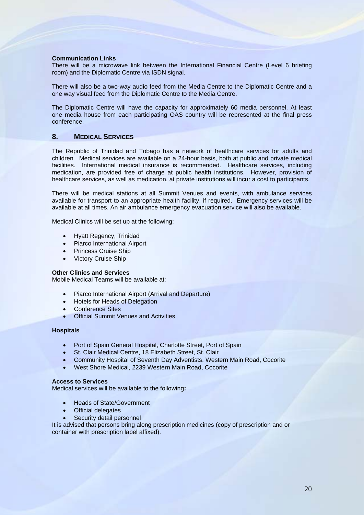# **Communication Links**

There will be a microwave link between the International Financial Centre (Level 6 briefing room) and the Diplomatic Centre via ISDN signal.

There will also be a two-way audio feed from the Media Centre to the Diplomatic Centre and a one way visual feed from the Diplomatic Centre to the Media Centre.

The Diplomatic Centre will have the capacity for approximately 60 media personnel. At least one media house from each participating OAS country will be represented at the final press conference.

# **8. MEDICAL SERVICES**

The Republic of Trinidad and Tobago has a network of healthcare services for adults and children. Medical services are available on a 24-hour basis, both at public and private medical facilities. International medical insurance is recommended. Healthcare services, including medication, are provided free of charge at public health institutions. However, provision of healthcare services, as well as medication, at private institutions will incur a cost to participants.

There will be medical stations at all Summit Venues and events, with ambulance services available for transport to an appropriate health facility, if required. Emergency services will be available at all times. An air ambulance emergency evacuation service will also be available.

Medical Clinics will be set up at the following:

- Hyatt Regency, Trinidad
- Piarco International Airport
- Princess Cruise Ship
- Victory Cruise Ship

# **Other Clinics and Services**

Mobile Medical Teams will be available at:

- Piarco International Airport (Arrival and Departure)
- Hotels for Heads of Delegation
- Conference Sites
- Official Summit Venues and Activities.

# **Hospitals**

- Port of Spain General Hospital, Charlotte Street, Port of Spain
- St. Clair Medical Centre, 18 Elizabeth Street, St. Clair
- Community Hospital of Seventh Day Adventists, Western Main Road, Cocorite
- West Shore Medical, 2239 Western Main Road, Cocorite

# **Access to Services**

Medical services will be available to the following**:** 

- Heads of State/Government
- **Official delegates**
- Security detail personnel

It is advised that persons bring along prescription medicines (copy of prescription and or container with prescription label affixed).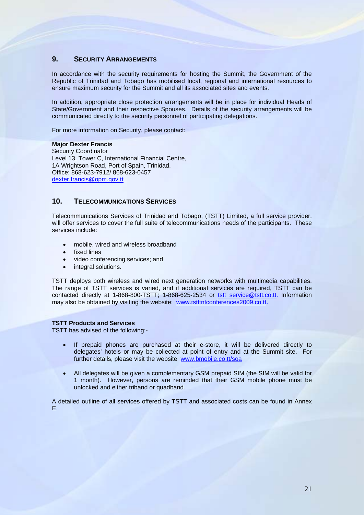# **9. SECURITY ARRANGEMENTS**

In accordance with the security requirements for hosting the Summit, the Government of the Republic of Trinidad and Tobago has mobilised local, regional and international resources to ensure maximum security for the Summit and all its associated sites and events.

In addition, appropriate close protection arrangements will be in place for individual Heads of State/Government and their respective Spouses. Details of the security arrangements will be communicated directly to the security personnel of participating delegations.

For more information on Security, please contact:

# **Major Dexter Francis**

Security Coordinator Level 13, Tower C, International Financial Centre, 1A Wrightson Road, Port of Spain, Trinidad. Office: 868-623-7912/ 868-623-0457 [dexter.francis@opm.gov.tt](mailto:dexter.francis@opm.gov.tt) 

# **10. TELECOMMUNICATIONS SERVICES**

Telecommunications Services of Trinidad and Tobago, (TSTT) Limited, a full service provider, will offer services to cover the full suite of telecommunications needs of the participants. These services include:

- mobile, wired and wireless broadband
- fixed lines
- video conferencing services; and
- integral solutions.

TSTT deploys both wireless and wired next generation networks with multimedia capabilities. The range of TSTT services is varied, and if additional services are required, TSTT can be contacted directly at 1-868-800-TSTT; 1-868-625-2534 or [tstt\\_service@tstt.co.tt](mailto:tstt_service@tstt.co.tt). Information may also be obtained by visiting the website: [www.tstttntconferences2009.co.tt.](http://www.tstttntconferences2009.co.tt/)

# **TSTT Products and Services**

TSTT has advised of the following:-

- If prepaid phones are purchased at their e-store, it will be delivered directly to delegates' hotels or may be collected at point of entry and at the Summit site. For further details, please visit the website www.bmobile.co.tt/soa
- All delegates will be given a complementary GSM prepaid SIM (the SIM will be valid for 1 month). However, persons are reminded that their GSM mobile phone must be unlocked and either triband or quadband.

A detailed outline of all services offered by TSTT and associated costs can be found in Annex E.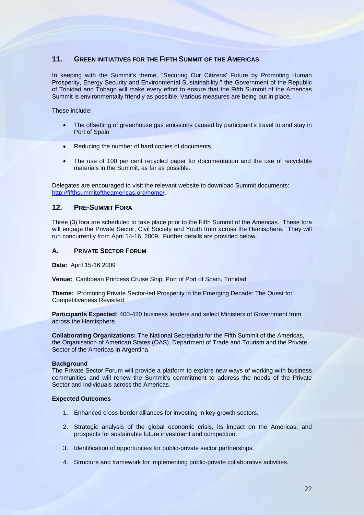# **11. GREEN INITIATIVES FOR THE FIFTH SUMMIT OF THE AMERICAS**

In keeping with the Summit's theme, "Securing Our Citizens' Future by Promoting Human Prosperity, Energy Security and Environmental Sustainability," the Government of the Republic of Trinidad and Tobago will make every effort to ensure that the Fifth Summit of the Americas Summit is environmentally friendly as possible. Various measures are being put in place.

These include:

- The offsetting of greenhouse gas emissions caused by participant's travel to and stay in Port of Spain
- Reducing the number of hard copies of documents
- The use of 100 per cent recycled paper for documentation and the use of recyclable materials in the Summit, as far as possible.

Delegates are encouraged to visit the relevant website to download Summit documents: <http://fifthsummitoftheamericas.org/home/>.

# **12. PRE-SUMMIT FORA**

Three (3) fora are scheduled to take place prior to the Fifth Summit of the Americas. These fora will engage the Private Sector, Civil Society and Youth from across the Hemisphere. They will run concurrently from April 14-16, 2009. Further details are provided below.

# **A. PRIVATE SECTOR FORUM**

**Date:** April 15-16 2009

**Venue:** Caribbean Princess Cruise Ship, Port of Port of Spain, Trinidad

**Theme:** Promoting Private Sector-led Prosperity in the Emerging Decade: The Quest for Competitiveness Revisited

**Participants Expected:** 400-420 business leaders and select Ministers of Government from across the Hemisphere.

**Collaborating Organizations:** The National Secretariat for the Fifth Summit of the Americas, the Organisation of American States (OAS), Department of Trade and Tourism and the Private Sector of the Americas in Argentina.

# **Background**

The Private Sector Forum will provide a platform to explore new ways of working with business communities and will renew the Summit's commitment to address the needs of the Private Sector and individuals across the Americas.

# **Expected Outcomes**

- 1. Enhanced cross-border alliances for investing in key growth sectors.
- 2. Strategic analysis of the global economic crisis, its impact on the Americas, and prospects for sustainable future investment and competition.
- 3. Identification of opportunities for public-private sector partnerships.
- 4. Structure and framework for implementing public-private collaborative activities.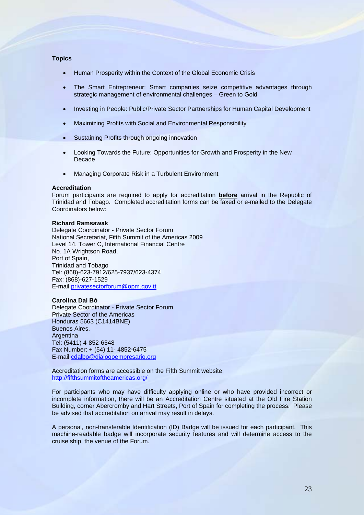# **Topics**

- Human Prosperity within the Context of the Global Economic Crisis
- The Smart Entrepreneur: Smart companies seize competitive advantages through strategic management of environmental challenges – Green to Gold
- Investing in People: Public/Private Sector Partnerships for Human Capital Development
- Maximizing Profits with Social and Environmental Responsibility
- Sustaining Profits through ongoing innovation
- Looking Towards the Future: Opportunities for Growth and Prosperity in the New Decade
- Managing Corporate Risk in a Turbulent Environment

# **Accreditation**

Forum participants are required to apply for accreditation **before** arrival in the Republic of Trinidad and Tobago. Completed accreditation forms can be faxed or e-mailed to the Delegate Coordinators below:

# **Richard Ramsawak**

Delegate Coordinator - Private Sector Forum National Secretariat, Fifth Summit of the Americas 2009 Level 14, Tower C, International Financial Centre No. 1A Wrightson Road, Port of Spain, Trinidad and Tobago Tel: (868)-623-7912/625-7937/623-4374 Fax: (868)-627-1529 E-mail [privatesectorforum@opm.gov.tt](mailto:privatesectorforum@opm.gov.tt) 

# **Carolina Dal Bó**

Delegate Coordinator - Private Sector Forum Private Sector of the Americas Honduras 5663 (C1414BNE) Buenos Aires, Argentina Tel: (5411) 4-852-6548 Fax Number: + (54) 11- 4852-6475 E-mail [cdalbo@dialogoempresario.org](mailto:cdalbo@dialogoempresario.org)

Accreditation forms are accessible on the Fifth Summit website: <http://fifthsummitoftheamericas.org/>

For participants who may have difficulty applying online or who have provided incorrect or incomplete information, there will be an Accreditation Centre situated at the Old Fire Station Building, corner Abercromby and Hart Streets, Port of Spain for completing the process. Please be advised that accreditation on arrival may result in delays.

A personal, non-transferable Identification (ID) Badge will be issued for each participant. This machine-readable badge will incorporate security features and will determine access to the cruise ship, the venue of the Forum.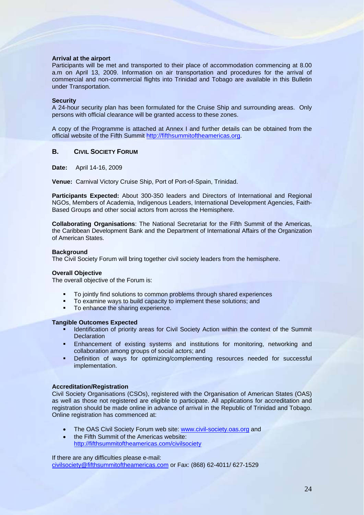# **Arrival at the airport**

Participants will be met and transported to their place of accommodation commencing at 8.00 a.m on April 13, 2009. Information on air transportation and procedures for the arrival of commercial and non-commercial flights into Trinidad and Tobago are available in this Bulletin under Transportation.

### **Security**

A 24-hour security plan has been formulated for the Cruise Ship and surrounding areas. Only persons with official clearance will be granted access to these zones.

A copy of the Programme is attached at Annex I and further details can be obtained from the official website of the Fifth Summit [http://fifthsummitoftheamericas.org](http://fifthsummitoftheamericas.org/).

# **B. CIVIL SOCIETY FORUM**

**Date:** April 14-16, 2009

**Venue:** Carnival Victory Cruise Ship, Port of Port-of-Spain, Trinidad.

**Participants Expected:** About 300-350 leaders and Directors of International and Regional NGOs, Members of Academia, Indigenous Leaders, International Development Agencies, Faith-Based Groups and other social actors from across the Hemisphere.

**Collaborating Organisations**: The National Secretariat for the Fifth Summit of the Americas, the Caribbean Development Bank and the Department of International Affairs of the Organization of American States.

### **Background**

The Civil Society Forum will bring together civil society leaders from the hemisphere.

### **Overall Objective**

The overall objective of the Forum is:

- To jointly find solutions to common problems through shared experiences
- To examine ways to build capacity to implement these solutions; and
- To enhance the sharing experience.

### **Tangible Outcomes Expected**

- Identification of priority areas for Civil Society Action within the context of the Summit **Declaration**
- **Enhancement of existing systems and institutions for monitoring, networking and** collaboration among groups of social actors; and
- Definition of ways for optimizing/complementing resources needed for successful implementation.

### **Accreditation/Registration**

Civil Society Organisations (CSOs), registered with the Organisation of American States (OAS) as well as those not registered are eligible to participate. All applications for accreditation and registration should be made online in advance of arrival in the Republic of Trinidad and Tobago. Online registration has commenced at:

- The OAS Civil Society Forum web site: [www.civil-society.oas.org](http://www.civil-society.oas.org/) and
- the Fifth Summit of the Americas website: http:/[/fifthsummitoftheamericas.com/civilsociety](http://www.fifthsummitoftheamericas.com/civilsociety)

If there are any difficulties please e-mail:

civil[society@fifthsummitoftheamericas.com](mailto:society@fifthsummitoftheamericas.com) or Fax: (868) 62-4011/ 627-1529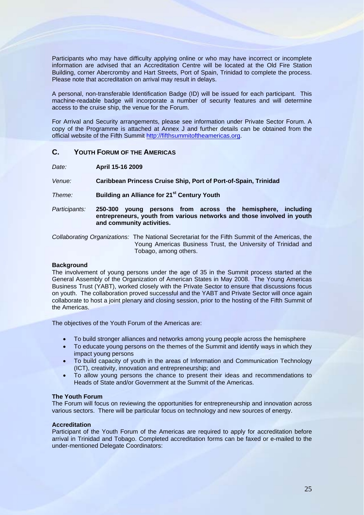Participants who may have difficulty applying online or who may have incorrect or incomplete information are advised that an Accreditation Centre will be located at the Old Fire Station Building, corner Abercromby and Hart Streets, Port of Spain, Trinidad to complete the process. Please note that accreditation on arrival may result in delays.

A personal, non-transferable Identification Badge (ID) will be issued for each participant. This machine-readable badge will incorporate a number of security features and will determine access to the cruise ship, the venue for the Forum.

For Arrival and Security arrangements, please see information under Private Sector Forum. A copy of the Programme is attached at Annex J and further details can be obtained from the official website of the Fifth Summit [http://fifthsummitoftheamericas.org](http://fifthsummitoftheamericas.org/).

# **C. YOUTH FORUM OF THE AMERICAS**

*Date:* **April 15-16 2009**

*Venue:* **Caribbean Princess Cruise Ship, Port of Port-of-Spain, Trinidad** 

*Theme:* **Building an Alliance for 21st Century Youth**

*Participants:* **250-300 young persons from across the hemisphere, including entrepreneurs, youth from various networks and those involved in youth and community activities.**

*Collaborating Organizations:* The National Secretariat for the Fifth Summit of the Americas, the Young Americas Business Trust, the University of Trinidad and Tobago, among others.

# **Background**

The involvement of young persons under the age of 35 in the Summit process started at the General Assembly of the Organization of American States in May 2008. The Young Americas Business Trust (YABT), worked closely with the Private Sector to ensure that discussions focus on youth. The collaboration proved successful and the YABT and Private Sector will once again collaborate to host a joint plenary and closing session, prior to the hosting of the Fifth Summit of the Americas.

The objectives of the Youth Forum of the Americas are:

- To build stronger alliances and networks among young people across the hemisphere
- To educate young persons on the themes of the Summit and identify ways in which they impact young persons
- To build capacity of youth in the areas of Information and Communication Technology (ICT), creativity, innovation and entrepreneurship; and
- To allow young persons the chance to present their ideas and recommendations to Heads of State and/or Government at the Summit of the Americas.

### **The Youth Forum**

The Forum will focus on reviewing the opportunities for entrepreneurship and innovation across various sectors. There will be particular focus on technology and new sources of energy.

# **Accreditation**

Participant of the Youth Forum of the Americas are required to apply for accreditation before arrival in Trinidad and Tobago. Completed accreditation forms can be faxed or e-mailed to the under-mentioned Delegate Coordinators: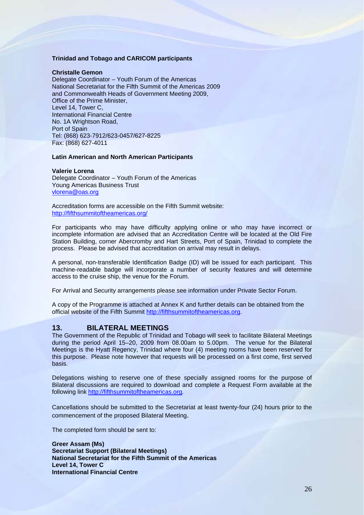# **Trinidad and Tobago and CARICOM participants**

# **Christalle Gemon**

Delegate Coordinator – Youth Forum of the Americas National Secretariat for the Fifth Summit of the Americas 2009 and Commonwealth Heads of Government Meeting 2009, Office of the Prime Minister, Level 14, Tower C, International Financial Centre No. 1A Wrightson Road, Port of Spain Tel: (868) 623-7912/623-0457/627-8225 Fax: (868) 627-4011

# **Latin American and North American Participants**

# **Valerie Lorena**

Delegate Coordinator – Youth Forum of the Americas Young Americas Business Trust vlorena@oas.org

Accreditation forms are accessible on the Fifth Summit website: <http://fifthsummitoftheamericas.org/>

For participants who may have difficulty applying online or who may have incorrect or incomplete information are advised that an Accreditation Centre will be located at the Old Fire Station Building, corner Abercromby and Hart Streets, Port of Spain, Trinidad to complete the process. Please be advised that accreditation on arrival may result in delays.

A personal, non-transferable Identification Badge (ID) will be issued for each participant. This machine-readable badge will incorporate a number of security features and will determine access to the cruise ship, the venue for the Forum.

For Arrival and Security arrangements please see information under Private Sector Forum.

A copy of the Programme is attached at Annex K and further details can be obtained from the official website of the Fifth Summit [http://fifthsummitoftheamericas.org](http://fifthsummitoftheamericas.org/).

# **13. BILATERAL MEETINGS**

The Government of the Republic of Trinidad and Tobago will seek to facilitate Bilateral Meetings during the period April 15–20, 2009 from 08.00am to 5.00pm. The venue for the Bilateral Meetings is the Hyatt Regency, Trinidad where four (4) meeting rooms have been reserved for this purpose. Please note however that requests will be processed on a first come, first served basis.

Delegations wishing to reserve one of these specially assigned rooms for the purpose of Bilateral discussions are required to download and complete a Request Form available at the following link [http://fifthsummitoftheamericas.org](http://fifthsummitoftheamericas.org/).

Cancellations should be submitted to the Secretariat at least twenty-four (24) hours prior to the commencement of the proposed Bilateral Meeting.

The completed form should be sent to:

**Greer Assam (Ms) Secretariat Support (Bilateral Meetings) National Secretariat for the Fifth Summit of the Americas Level 14, Tower C International Financial Centre**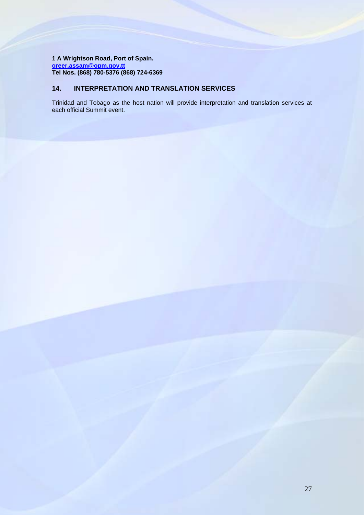**1 A Wrightson Road, Port of Spain. [greer.assam@opm.gov.tt](mailto:greer.assam@opm.gov.tt) Tel Nos. (868) 780-5376 (868) 724-6369** 

# **14. INTERPRETATION AND TRANSLATION SERVICES**

Trinidad and Tobago as the host nation will provide interpretation and translation services at each official Summit event.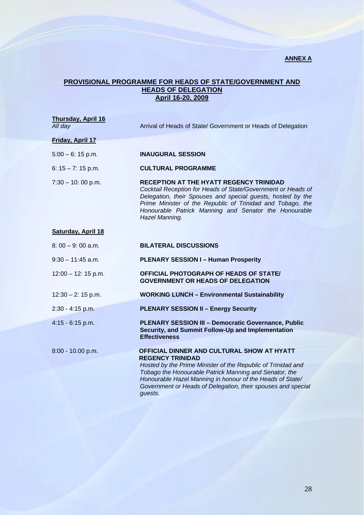# **ANNEX A**

# **PROVISIONAL PROGRAMME FOR HEADS OF STATE/GOVERNMENT AND HEADS OF DELEGATION April 16-20, 2009**

| <b>Thursday, April 16</b><br>All day | Arrival of Heads of State/ Government or Heads of Delegation                                                                                                                                                                                                                                                                            |
|--------------------------------------|-----------------------------------------------------------------------------------------------------------------------------------------------------------------------------------------------------------------------------------------------------------------------------------------------------------------------------------------|
| <b>Friday, April 17</b>              |                                                                                                                                                                                                                                                                                                                                         |
| $5:00 - 6:15$ p.m.                   | <b>INAUGURAL SESSION</b>                                                                                                                                                                                                                                                                                                                |
| 6: $15 - 7$ : 15 p.m.                | <b>CULTURAL PROGRAMME</b>                                                                                                                                                                                                                                                                                                               |
| $7:30 - 10:00 p.m.$                  | <b>RECEPTION AT THE HYATT REGENCY TRINIDAD</b><br>Cocktail Reception for Heads of State/Government or Heads of<br>Delegation, their Spouses and special guests, hosted by the<br>Prime Minister of the Republic of Trinidad and Tobago, the<br>Honourable Patrick Manning and Senator the Honourable<br>Hazel Manning.                  |
| <b>Saturday, April 18</b>            |                                                                                                                                                                                                                                                                                                                                         |
| $8:00 - 9:00$ a.m.                   | <b>BILATERAL DISCUSSIONS</b>                                                                                                                                                                                                                                                                                                            |
| $9:30 - 11:45$ a.m.                  | <b>PLENARY SESSION I - Human Prosperity</b>                                                                                                                                                                                                                                                                                             |
| $12:00 - 12:15 p.m.$                 | <b>OFFICIAL PHOTOGRAPH OF HEADS OF STATE/</b><br><b>GOVERNMENT OR HEADS OF DELEGATION</b>                                                                                                                                                                                                                                               |
| $12:30 - 2:15$ p.m.                  | <b>WORKING LUNCH - Environmental Sustainability</b>                                                                                                                                                                                                                                                                                     |
| $2:30 - 4:15$ p.m.                   | <b>PLENARY SESSION II - Energy Security</b>                                                                                                                                                                                                                                                                                             |
| $4:15 - 6:15$ p.m.                   | <b>PLENARY SESSION III - Democratic Governance, Public</b><br>Security, and Summit Follow-Up and Implementation<br><b>Effectiveness</b>                                                                                                                                                                                                 |
| 8:00 - 10.00 p.m.                    | OFFICIAL DINNER AND CULTURAL SHOW AT HYATT<br><b>REGENCY TRINIDAD</b><br>Hosted by the Prime Minister of the Republic of Trinidad and<br>Tobago the Honourable Patrick Manning and Senator, the<br>Honourable Hazel Manning in honour of the Heads of State/<br>Government or Heads of Delegation, their spouses and special<br>guests. |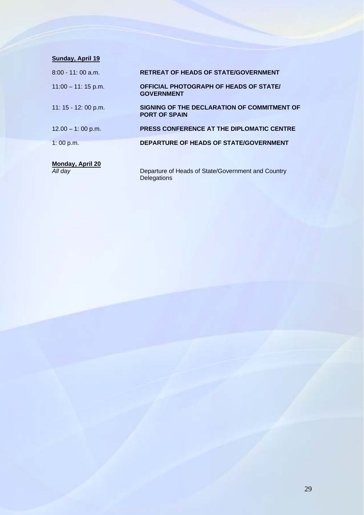| Sunday, April 19            |                                                                     |
|-----------------------------|---------------------------------------------------------------------|
| $8:00 - 11:00$ a.m.         | <b>RETREAT OF HEADS OF STATE/GOVERNMENT</b>                         |
| $11:00 - 11:15$ p.m.        | OFFICIAL PHOTOGRAPH OF HEADS OF STATE/<br><b>GOVERNMENT</b>         |
| 11: 15 - 12: 00 p.m.        | SIGNING OF THE DECLARATION OF COMMITMENT OF<br><b>PORT OF SPAIN</b> |
| $12.00 - 1:00$ p.m.         | PRESS CONFERENCE AT THE DIPLOMATIC CENTRE                           |
| 1:00 p.m.                   | DEPARTURE OF HEADS OF STATE/GOVERNMENT                              |
| Monday, April 20<br>All day | Departure of Heads of State/Government and Country                  |

**Delegations**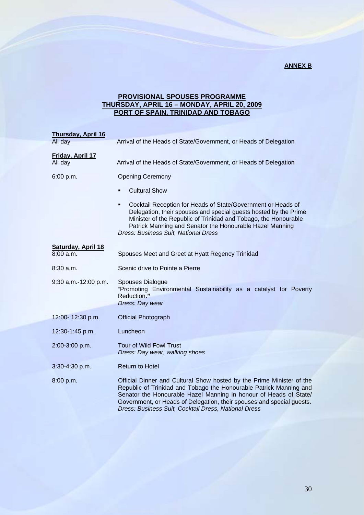# **ANNEX B**

# **PROVISIONAL SPOUSES PROGRAMME THURSDAY, APRIL 16 – MONDAY, APRIL 20, 2009 PORT OF SPAIN, TRINIDAD AND TOBAGO**

| <b>Thursday, April 16</b>   |                                                                                                                                                                                                                                                                                                                                                   |
|-----------------------------|---------------------------------------------------------------------------------------------------------------------------------------------------------------------------------------------------------------------------------------------------------------------------------------------------------------------------------------------------|
| All day                     | Arrival of the Heads of State/Government, or Heads of Delegation                                                                                                                                                                                                                                                                                  |
| Friday, April 17<br>All day | Arrival of the Heads of State/Government, or Heads of Delegation                                                                                                                                                                                                                                                                                  |
| 6:00 p.m.                   | <b>Opening Ceremony</b>                                                                                                                                                                                                                                                                                                                           |
|                             | <b>Cultural Show</b><br>$\blacksquare$                                                                                                                                                                                                                                                                                                            |
|                             | Cocktail Reception for Heads of State/Government or Heads of<br>٠<br>Delegation, their spouses and special guests hosted by the Prime<br>Minister of the Republic of Trinidad and Tobago, the Honourable<br>Patrick Manning and Senator the Honourable Hazel Manning<br>Dress: Business Suit, National Dress                                      |
| Saturday, April 18          |                                                                                                                                                                                                                                                                                                                                                   |
| 8:00a.m.                    | Spouses Meet and Greet at Hyatt Regency Trinidad                                                                                                                                                                                                                                                                                                  |
| $8:30$ a.m.                 | Scenic drive to Pointe a Pierre                                                                                                                                                                                                                                                                                                                   |
| 9:30 a.m.-12:00 p.m.        | Spouses Dialogue<br>"Promoting Environmental Sustainability as a catalyst for Poverty<br>Reduction."<br>Dress: Day wear                                                                                                                                                                                                                           |
| 12:00-12:30 p.m.            | <b>Official Photograph</b>                                                                                                                                                                                                                                                                                                                        |
| 12:30-1:45 p.m.             | Luncheon                                                                                                                                                                                                                                                                                                                                          |
| 2:00-3:00 p.m.              | <b>Tour of Wild Fowl Trust</b><br>Dress: Day wear, walking shoes                                                                                                                                                                                                                                                                                  |
| 3:30-4:30 p.m.              | <b>Return to Hotel</b>                                                                                                                                                                                                                                                                                                                            |
| 8:00 p.m.                   | Official Dinner and Cultural Show hosted by the Prime Minister of the<br>Republic of Trinidad and Tobago the Honourable Patrick Manning and<br>Senator the Honourable Hazel Manning in honour of Heads of State/<br>Government, or Heads of Delegation, their spouses and special guests.<br>Dress: Business Suit, Cocktail Dress, National Dress |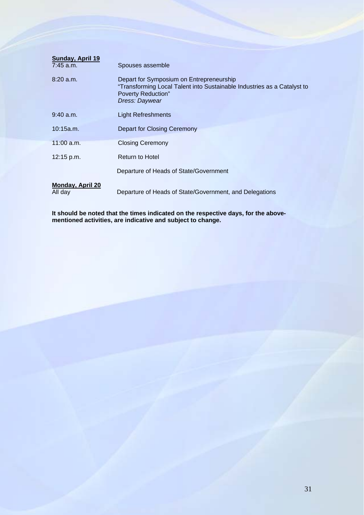| <b>Sunday, April 19</b><br>$7:45$ a.m. | Spouses assemble                                                                                                                                                   |
|----------------------------------------|--------------------------------------------------------------------------------------------------------------------------------------------------------------------|
| 8:20 a.m.                              | Depart for Symposium on Entrepreneurship<br>"Transforming Local Talent into Sustainable Industries as a Catalyst to<br><b>Poverty Reduction"</b><br>Dress: Daywear |
| 9:40 a.m.                              | <b>Light Refreshments</b>                                                                                                                                          |
| 10:15a.m.                              | Depart for Closing Ceremony                                                                                                                                        |
| $11:00$ a.m.                           | <b>Closing Ceremony</b>                                                                                                                                            |
| 12:15 p.m.                             | <b>Return to Hotel</b>                                                                                                                                             |
|                                        | Departure of Heads of State/Government                                                                                                                             |
| <b>Monday, April 20</b><br>All day     | Departure of Heads of State/Government, and Delegations                                                                                                            |

**It should be noted that the times indicated on the respective days, for the abovementioned activities, are indicative and subject to change.**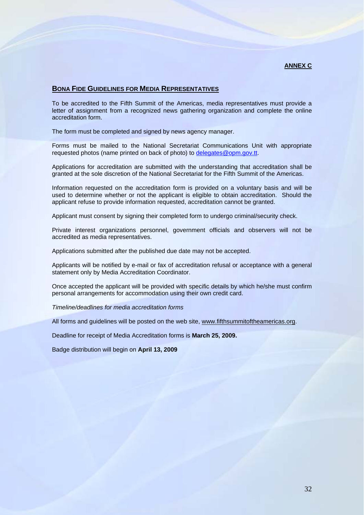# **BONA FIDE GUIDELINES FOR MEDIA REPRESENTATIVES**

To be accredited to the Fifth Summit of the Americas, media representatives must provide a letter of assignment from a recognized news gathering organization and complete the online accreditation form.

The form must be completed and signed by news agency manager.

Forms must be mailed to the National Secretariat Communications Unit with appropriate requested photos (name printed on back of photo) to [delegates@opm.gov.tt](mailto:delegates@opm.gov.tt).

Applications for accreditation are submitted with the understanding that accreditation shall be granted at the sole discretion of the National Secretariat for the Fifth Summit of the Americas.

Information requested on the accreditation form is provided on a voluntary basis and will be used to determine whether or not the applicant is eligible to obtain accreditation. Should the applicant refuse to provide information requested, accreditation cannot be granted.

Applicant must consent by signing their completed form to undergo criminal/security check.

Private interest organizations personnel, government officials and observers will not be accredited as media representatives.

Applications submitted after the published due date may not be accepted.

Applicants will be notified by e-mail or fax of accreditation refusal or acceptance with a general statement only by Media Accreditation Coordinator.

Once accepted the applicant will be provided with specific details by which he/she must confirm personal arrangements for accommodation using their own credit card.

*Timeline/deadlines for media accreditation forms* 

All forms and guidelines will be posted on the web site, [www.fifthsummitoftheamericas.org](http://www.fifthsummitoftheamericas.org/).

Deadline for receipt of Media Accreditation forms is **March 25, 2009.** 

Badge distribution will begin on **April 13, 2009**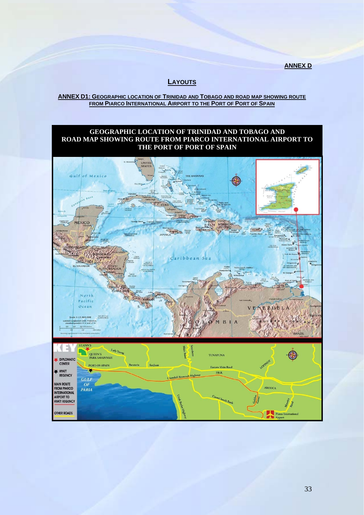**ANNEX D**

# **LAYOUTS**

# **ANNEX D1: GEOGRAPHIC LOCATION OF TRINIDAD AND TOBAGO AND ROAD MAP SHOWING ROUTE FROM PIARCO INTERNATIONAL AIRPORT TO THE PORT OF PORT OF SPAIN**

# **GEOGRAPHIC LOCATION OF TRINIDAD AND TOBAGO AND ROAD MAP SHOWING ROUTE FROM PIARCO INTERNATIONAL AIRPORT TO THE PORT OF PORT OF SPAIN**

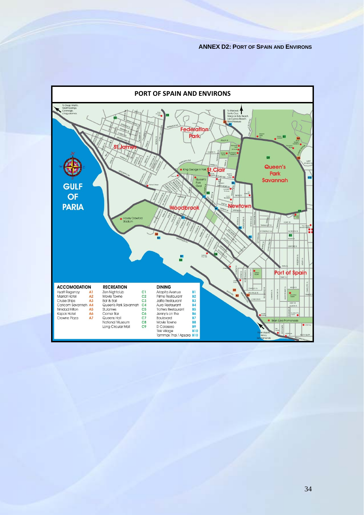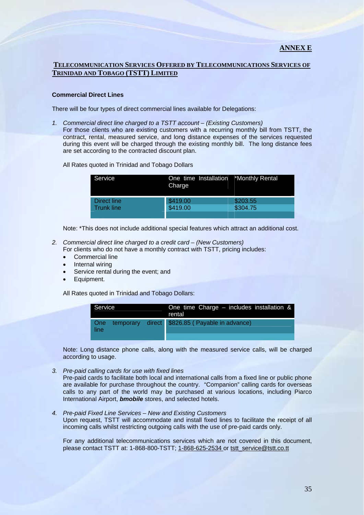# **TELECOMMUNICATION SERVICES OFFERED BY TELECOMMUNICATIONS SERVICES OF TRINIDAD AND TOBAGO (TSTT) LIMITED**

# **Commercial Direct Lines**

There will be four types of direct commercial lines available for Delegations:

*1. Commercial direct line charged to a TSTT account – (Existing Customers)*  For those clients who are existing customers with a recurring monthly bill from TSTT, the contract, rental, measured service, and long distance expenses of the services requested during this event will be charged through the existing monthly bill. The long distance fees are set according to the contracted discount plan.

All Rates quoted in Trinidad and Tobago Dollars

| Service           | One time Installation *Monthly Rental<br>Charge |          |
|-------------------|-------------------------------------------------|----------|
| Direct line       | \$419.00                                        | \$203.55 |
| <b>Trunk line</b> | \$419.00                                        | \$304.75 |
|                   |                                                 |          |

Note: \*This does not include additional special features which attract an additional cost.

- *2. Commercial direct line charged to a credit card (New Customers)*  For clients who do not have a monthly contract with TSTT, pricing includes:
	- Commercial line
	- Internal wiring
	- Service rental during the event; and
	- Equipment.

All Rates quoted in Trinidad and Tobago Dollars:

| Service       |  | One time Charge $-$ includes installation $\&$<br>rental |
|---------------|--|----------------------------------------------------------|
| ∣ One<br>line |  | temporary direct \$826.85 (Payable in advance)           |
|               |  |                                                          |

Note: Long distance phone calls, along with the measured service calls, will be charged according to usage.

*3. Pre-paid calling cards for use with fixed lines* 

Pre-paid cards to facilitate both local and international calls from a fixed line or public phone are available for purchase throughout the country. "Companion" calling cards for overseas calls to any part of the world may be purchased at various locations, including Piarco International Airport, *bmobile* stores, and selected hotels.

*4. Pre-paid Fixed Line Services – New and Existing Customers*  Upon request, TSTT will accommodate and install fixed lines to facilitate the receipt of all incoming calls whilst restricting outgoing calls with the use of pre-paid cards only.

For any additional telecommunications services which are not covered in this document, please contact TSTT at: 1-868-800-TSTT; 1-868-625-2534 or [tstt\\_service@tstt.co.tt](mailto:tstt_service@tstt.co.tt)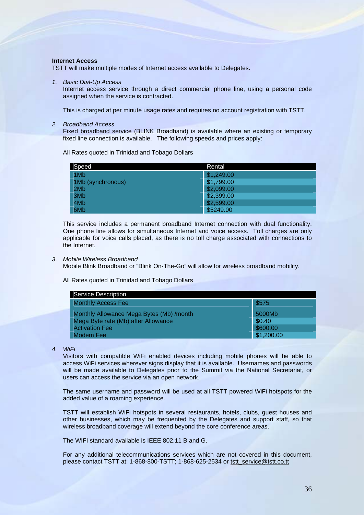# **Internet Access**

TSTT will make multiple modes of Internet access available to Delegates.

### *1. Basic Dial-Up Access*

Internet access service through a direct commercial phone line, using a personal code assigned when the service is contracted.

This is charged at per minute usage rates and requires no account registration with TSTT.

### *2. Broadband Access*

Fixed broadband service (BLINK Broadband) is available where an existing or temporary fixed line connection is available. The following speeds and prices apply:

All Rates quoted in Trinidad and Tobago Dollars

| Speed             | Rental     |
|-------------------|------------|
| 1M <sub>b</sub>   | \$1,249.00 |
| 1Mb (synchronous) | \$1,799.00 |
| 2Mb               | \$2,099.00 |
| 3M <sub>b</sub>   | \$2,399.00 |
| 4M <sub>b</sub>   | \$2,599.00 |
| 6M <sub>b</sub>   | \$5249.00  |

This service includes a permanent broadband Internet connection with dual functionality. One phone line allows for simultaneous Internet and voice access. Toll charges are only applicable for voice calls placed, as there is no toll charge associated with connections to the Internet.

### *3. Mobile Wireless Broadband*

Mobile Blink Broadband or "Blink On-The-Go" will allow for wireless broadband mobility.

All Rates quoted in Trinidad and Tobago Dollars

| <b>Service Description</b>               |            |
|------------------------------------------|------------|
| <b>Monthly Access Fee</b>                | \$575      |
| Monthly Allowance Mega Bytes (Mb) /month | 5000Mb     |
| Mega Byte rate (Mb) after Allowance      | \$0.40     |
| <b>Activation Fee</b>                    | \$600.00   |
| Modem Fee                                | \$1,200.00 |

*4. WiFi* 

Visitors with compatible WiFi enabled devices including mobile phones will be able to access WiFi services wherever signs display that it is available. Usernames and passwords will be made available to Delegates prior to the Summit via the National Secretariat, or users can access the service via an open network.

The same username and password will be used at all TSTT powered WiFi hotspots for the added value of a roaming experience.

TSTT will establish WiFi hotspots in several restaurants, hotels, clubs, guest houses and other businesses, which may be frequented by the Delegates and support staff, so that wireless broadband coverage will extend beyond the core conference areas.

The WIFI standard available is IEEE 802.11 B and G.

For any additional telecommunications services which are not covered in this document, please contact TSTT at: 1-868-800-TSTT; 1-868-625-2534 or [tstt\\_service@tstt.co.tt](mailto:tstt_service@tstt.co.tt)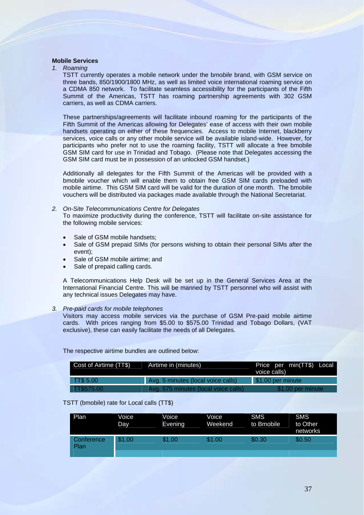# **Mobile Services**

### *1. Roaming*

TSTT currently operates a mobile network under the b*mobile* brand, with GSM service on three bands, 850/1900/1800 MHz, as well as limited voice international roaming service on a CDMA 850 network. To facilitate seamless accessibility for the participants of the Fifth Summit of the Americas, TSTT has roaming partnership agreements with 302 GSM carriers, as well as CDMA carriers.

These partnerships/agreements will facilitate inbound roaming for the participants of the Fifth Summit of the Americas allowing for Delegates' ease of access with their own mobile handsets operating on either of these frequencies. Access to mobile Internet, blackberry services, voice calls or any other mobile service will be available island-wide. However, for participants who prefer not to use the roaming facility, TSTT will allocate a free bmobile GSM SIM card for use in Trinidad and Tobago. (Please note that Delegates accessing the GSM SIM card must be in possession of an unlocked GSM handset.)

Additionally all delegates for the Fifth Summit of the Americas will be provided with a bmobile voucher which will enable them to obtain free GSM SIM cards preloaded with mobile airtime. This GSM SIM card will be valid for the duration of one month. The bmobile vouchers will be distributed via packages made available through the National Secretariat.

# *2. On-Site Telecommunications Centre for Delegates*

To maximize productivity during the conference, TSTT will facilitate on-site assistance for the following mobile services:

- Sale of GSM mobile handsets:
- Sale of GSM prepaid SIMs (for persons wishing to obtain their personal SIMs after the event);
- Sale of GSM mobile airtime; and
- Sale of prepaid calling cards.

A Telecommunications Help Desk will be set up in the General Services Area at the International Financial Centre. This will be manned by TSTT personnel who will assist with any technical issues Delegates may have.

# *3. Pre-paid cards for mobile telephones*

Visitors may access mobile services via the purchase of GSM Pre-paid mobile airtime cards. With prices ranging from \$5.00 to \$575.00 Trinidad and Tobago Dollars, (VAT exclusive), these can easily facilitate the needs of all Delegates.

The respective airtime bundles are outlined below:

| Cost of Airtime (TT\$) | Airtime in (minutes)                 | Price per min(TT\$) Local<br>voice calls) |
|------------------------|--------------------------------------|-------------------------------------------|
| <b>TT\$ 5.00</b>       | Avg. 5 minutes (local voice calls)   | \$1.00 per minute                         |
| TT\$575.00             | Avg. 575 minutes (local voice calls) | \$1.00 per minute                         |

# TSTT (bmobile) rate for Local calls (TT\$)

| Plan               | Voice<br>Day | Voice<br>Evening | Voice<br>Weekend | <b>SMS</b><br>to Bmobile | <b>SMS</b><br>to Other<br>networks |
|--------------------|--------------|------------------|------------------|--------------------------|------------------------------------|
| Conference<br>Plan | \$1.00       | \$1.00           | \$1.00           | \$0.30                   | \$0.50                             |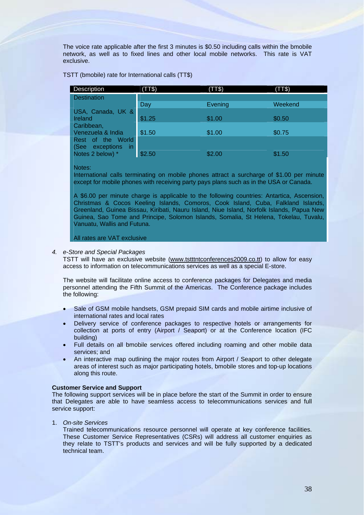The voice rate applicable after the first 3 minutes is \$0.50 including calls within the bmobile network, as well as to fixed lines and other local mobile networks. This rate is VAT exclusive.

TSTT (bmobile) rate for International calls (TT\$)

| <b>Description</b>              | (TT\$) | (TT\$)  | (TT\$)  |
|---------------------------------|--------|---------|---------|
| <b>Destination</b>              |        |         |         |
|                                 | Day    | Evening | Weekend |
| USA, Canada, UK &               |        |         |         |
| Ireland                         | \$1.25 | \$1.00  | \$0.50  |
| Caribbean,                      |        |         |         |
| Venezuela & India               | \$1.50 | \$1.00  | \$0.75  |
| Rest of the World               |        |         |         |
| exceptions<br>(See<br><b>in</b> |        |         |         |
| Notes 2 below) *                | \$2.50 | \$2.00  | \$1.50  |

Notes:

International calls terminating on mobile phones attract a surcharge of \$1.00 per minute except for mobile phones with receiving party pays plans such as in the USA or Canada.

A \$6.00 per minute charge is applicable to the following countries: Antartica, Ascension, Christmas & Cocos Keeling Islands, Comoros, Cook Island, Cuba, Falkland Islands, Greenland, Guinea Bissau, Kiribati, Nauru Island, Niue Island, Norfolk Islands, Papua New Guinea, Sao Tome and Principe, Solomon Islands, Somalia, St Helena, Tokelau, Tuvalu, Vanuatu, Wallis and Futuna.

All rates are VAT exclusive

# *4. e-Store and Special Packages*

TSTT will have an exclusive website ([www.tstttntconferences2009.co.tt](http://www.tstttntconferences2009.co.tt/)) to allow for easy access to information on telecommunications services as well as a special E-store.

The website will facilitate online access to conference packages for Delegates and media personnel attending the Fifth Summit of the Americas. The Conference package includes the following:

- Sale of GSM mobile handsets, GSM prepaid SIM cards and mobile airtime inclusive of international rates and local rates
- Delivery service of conference packages to respective hotels or arrangements for collection at ports of entry (Airport / Seaport) or at the Conference location (IFC building)
- Full details on all bmobile services offered including roaming and other mobile data services; and
- An interactive map outlining the major routes from Airport / Seaport to other delegate areas of interest such as major participating hotels, bmobile stores and top-up locations along this route.

# **Customer Service and Support**

The following support services will be in place before the start of the Summit in order to ensure that Delegates are able to have seamless access to telecommunications services and full service support:

# 1. *On-site Services*

Trained telecommunications resource personnel will operate at key conference facilities. These Customer Service Representatives (CSRs) will address all customer enquiries as they relate to TSTT's products and services and will be fully supported by a dedicated technical team.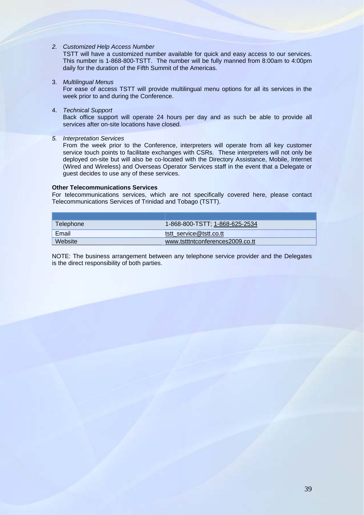*2. Customized Help Access Number* 

TSTT will have a customized number available for quick and easy access to our services. This number is 1-868-800-TSTT. The number will be fully manned from 8:00am to 4:00pm daily for the duration of the Fifth Summit of the Americas.

3. *Multilingual Menus*

For ease of access TSTT will provide multilingual menu options for all its services in the week prior to and during the Conference.

4. *Technical Support*

Back office support will operate 24 hours per day and as such be able to provide all services after on-site locations have closed.

*5. Interpretation Services* 

From the week prior to the Conference, interpreters will operate from all key customer service touch points to facilitate exchanges with CSRs. These interpreters will not only be deployed on-site but will also be co-located with the Directory Assistance, Mobile, Internet (Wired and Wireless) and Overseas Operator Services staff in the event that a Delegate or guest decides to use any of these services.

# **Other Telecommunications Services**

For telecommunications services, which are not specifically covered here, please contact Telecommunications Services of Trinidad and Tobago (TSTT).

| Telephone | 1-868-800-TSTT; 1-868-625-2534   |
|-----------|----------------------------------|
| Email     | tstt service@tstt.co.tt          |
| Website   | www.tstttntconferences2009.co.tt |

NOTE: The business arrangement between any telephone service provider and the Delegates is the direct responsibility of both parties.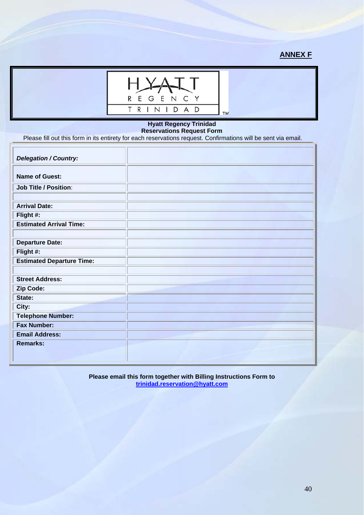# **ANNEX F**



# **Hyatt Regency Trinidad Reservations Request Form**

Please fill out this form in its entirety for each reservations request. Confirmations will be sent via email.

| <b>Delegation / Country:</b>     |  |
|----------------------------------|--|
| <b>Name of Guest:</b>            |  |
| <b>Job Title / Position:</b>     |  |
|                                  |  |
| <b>Arrival Date:</b>             |  |
| Flight #:                        |  |
| <b>Estimated Arrival Time:</b>   |  |
|                                  |  |
| <b>Departure Date:</b>           |  |
| Flight #:                        |  |
| <b>Estimated Departure Time:</b> |  |
|                                  |  |
| <b>Street Address:</b>           |  |
| Zip Code:                        |  |
| State:                           |  |
| City:                            |  |
| <b>Telephone Number:</b>         |  |
| <b>Fax Number:</b>               |  |
| <b>Email Address:</b>            |  |
| <b>Remarks:</b>                  |  |
|                                  |  |
|                                  |  |

**Please email this form together with Billing Instructions Form to [trinidad.reservation@hyatt.com](mailto:trinidad.reservation@hyatt.com)**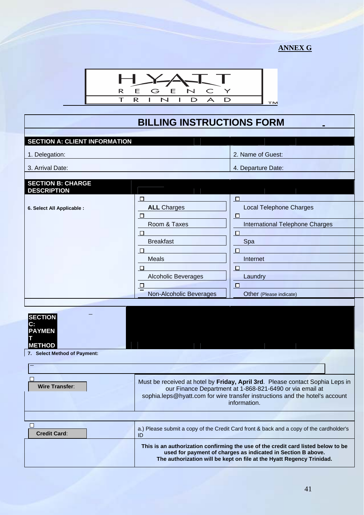# **ANNEX G**



# **BILLING INSTRUCTIONS FORM**

| <b>SECTION A: CLIENT INFORMATION</b>                   |                                 |                                                                                                                                                                                                                            |
|--------------------------------------------------------|---------------------------------|----------------------------------------------------------------------------------------------------------------------------------------------------------------------------------------------------------------------------|
| 1. Delegation:                                         |                                 | 2. Name of Guest:                                                                                                                                                                                                          |
| 3. Arrival Date:                                       |                                 | 4. Departure Date:                                                                                                                                                                                                         |
|                                                        |                                 |                                                                                                                                                                                                                            |
| <b>SECTION B: CHARGE</b><br><b>DESCRIPTION</b>         |                                 |                                                                                                                                                                                                                            |
|                                                        | ⊔                               | $\Box$                                                                                                                                                                                                                     |
| 6. Select All Applicable :                             | <b>ALL</b> Charges              | <b>Local Telephone Charges</b>                                                                                                                                                                                             |
|                                                        | □                               |                                                                                                                                                                                                                            |
|                                                        | Room & Taxes                    | <b>International Telephone Charges</b>                                                                                                                                                                                     |
|                                                        | $\Box$                          | O                                                                                                                                                                                                                          |
|                                                        | <b>Breakfast</b>                | Spa                                                                                                                                                                                                                        |
|                                                        | □                               | $\Box$<br>Internet                                                                                                                                                                                                         |
|                                                        | <b>Meals</b>                    |                                                                                                                                                                                                                            |
|                                                        | □<br><b>Alcoholic Beverages</b> | O<br>Laundry                                                                                                                                                                                                               |
|                                                        | □                               | $\Box$                                                                                                                                                                                                                     |
|                                                        | Non-Alcoholic Beverages         | Other (Please indicate)                                                                                                                                                                                                    |
|                                                        |                                 |                                                                                                                                                                                                                            |
| <b>SECTION</b><br>С.<br><b>PAYMEN</b><br><b>METHOD</b> |                                 |                                                                                                                                                                                                                            |
| 7. Select Method of Payment:                           |                                 |                                                                                                                                                                                                                            |
|                                                        |                                 |                                                                                                                                                                                                                            |
| <b>Wire Transfer:</b>                                  | <b>Example 2.1 Information.</b> | Must be received at hotel by Friday, April 3rd. Please contact Sophia Leps in<br>our Finance Department at 1-868-821-6490 or via email at<br>sophia.leps@hyatt.com for wire transfer instructions and the hotel's account  |
|                                                        |                                 |                                                                                                                                                                                                                            |
| П<br><b>Credit Card:</b>                               | ID                              | a.) Please submit a copy of the Credit Card front & back and a copy of the cardholder's                                                                                                                                    |
|                                                        |                                 | This is an authorization confirming the use of the credit card listed below to be<br>used for payment of charges as indicated in Section B above.<br>The authorization will be kept on file at the Hyatt Regency Trinidad. |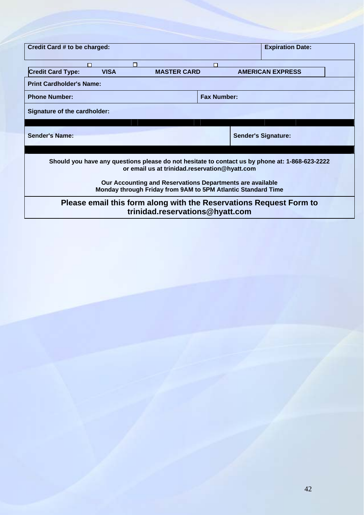| Credit Card # to be charged:                                                                                                                                                                                 |                                                              |                    | <b>Expiration Date:</b>    |  |
|--------------------------------------------------------------------------------------------------------------------------------------------------------------------------------------------------------------|--------------------------------------------------------------|--------------------|----------------------------|--|
|                                                                                                                                                                                                              |                                                              |                    |                            |  |
| <b>Credit Card Type:</b><br><b>VISA</b>                                                                                                                                                                      | <b>MASTER CARD</b>                                           |                    | <b>AMERICAN EXPRESS</b>    |  |
| <b>Print Cardholder's Name:</b>                                                                                                                                                                              |                                                              |                    |                            |  |
| <b>Phone Number:</b>                                                                                                                                                                                         |                                                              | <b>Fax Number:</b> |                            |  |
| Signature of the cardholder:                                                                                                                                                                                 |                                                              |                    |                            |  |
|                                                                                                                                                                                                              |                                                              |                    |                            |  |
| <b>Sender's Name:</b>                                                                                                                                                                                        |                                                              |                    | <b>Sender's Signature:</b> |  |
|                                                                                                                                                                                                              |                                                              |                    |                            |  |
| Should you have any questions please do not hesitate to contact us by phone at: 1-868-623-2222<br>or email us at trinidad.reservation@hyatt.com<br>Our Accounting and Reservations Departments are available |                                                              |                    |                            |  |
|                                                                                                                                                                                                              | Monday through Friday from 9AM to 5PM Atlantic Standard Time |                    |                            |  |
| Please email this form along with the Reservations Request Form to                                                                                                                                           | trinidad.reservations@hyatt.com                              |                    |                            |  |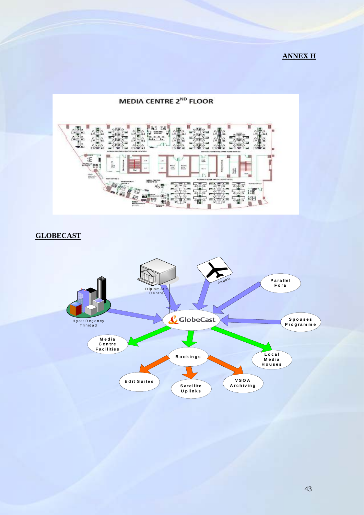# **ANNEX H**



# **GLOBECAST**

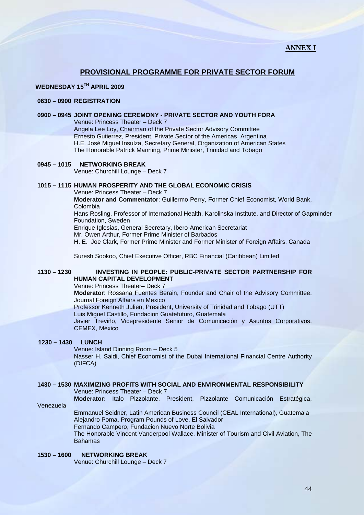# **PROVISIONAL PROGRAMME FOR PRIVATE SECTOR FORUM**

# **WEDNESDAY 15TH APRIL 2009**

# **0630 – 0900 REGISTRATION**

# **0900 – 0945 JOINT OPENING CEREMONY - PRIVATE SECTOR AND YOUTH FORA**

Venue: Princess Theater – Deck 7 Angela Lee Loy, Chairman of the Private Sector Advisory Committee Ernesto Gutierrez, President, Private Sector of the Americas, Argentina H.E. José Miguel Insulza, Secretary General, Organization of American States The Honorable Patrick Manning, Prime Minister, Trinidad and Tobago

# **0945 – 1015 NETWORKING BREAK**

Venue: Churchill Lounge – Deck 7

# **1015 – 1115 HUMAN PROSPERITY AND THE GLOBAL ECONOMIC CRISIS**

Venue: Princess Theater – Deck 7

**Moderator and Commentator**: Guillermo Perry, Former Chief Economist, World Bank, Colombia

Hans Rosling, Professor of International Health, Karolinska Institute, and Director of Gapminder Foundation, Sweden

Enrique Iglesias, General Secretary, Ibero-American Secretariat

Mr. Owen Arthur, Former Prime Minister of Barbados

H. E. Joe Clark, Former Prime Minister and Former Minister of Foreign Affairs, Canada

Suresh Sookoo, Chief Executive Officer, RBC Financial (Caribbean) Limited

# **1130 – 1230 INVESTING IN PEOPLE: PUBLIC-PRIVATE SECTOR PARTNERSHIP FOR HUMAN CAPITAL DEVELOPMENT**

Venue: Princess Theater– Deck 7

**Moderator**: Rossana Fuentes Berain, Founder and Chair of the Advisory Committee, Journal Foreign Affairs en Mexico

Professor Kenneth Julien, President, University of Trinidad and Tobago (UTT)

Luis Miguel Castillo, Fundacion Guatefuturo, Guatemala

Javier Treviño, Vicepresidente Senior de Comunicación y Asuntos Corporativos, CEMEX, México

# **1230 – 1430 LUNCH**

Venue: Island Dinning Room – Deck 5

Nasser H. Saidi, Chief Economist of the Dubai International Financial Centre Authority (DIFCA)

# **1430 – 1530 MAXIMIZING PROFITS WITH SOCIAL AND ENVIRONMENTAL RESPONSIBILITY**

Venue: Princess Theater – Deck 7

**Moderator:** Italo Pizzolante, President, Pizzolante Comunicación Estratégica,

Venezuela

Emmanuel Seidner, Latin American Business Council (CEAL International), Guatemala Alejandro Poma, Program Pounds of Love, El Salvador

Fernando Campero, Fundacion Nuevo Norte Bolivia

The Honorable Vincent Vanderpool Wallace, Minister of Tourism and Civil Aviation, The Bahamas

# **1530 – 1600 NETWORKING BREAK**

Venue: Churchill Lounge – Deck 7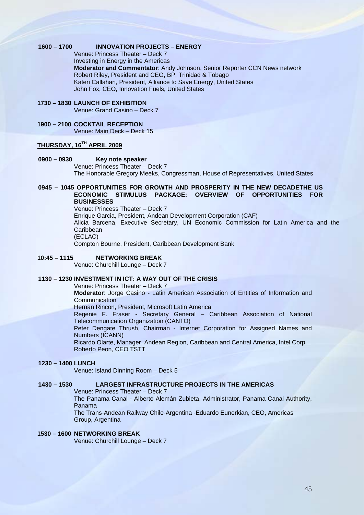# **1600 – 1700 INNOVATION PROJECTS – ENERGY**

Venue: Princess Theater – Deck 7 Investing in Energy in the Americas **Moderator and Commentator**: Andy Johnson, Senior Reporter CCN News network Robert Riley, President and CEO, BP, Trinidad & Tobago Kateri Callahan, President, Alliance to Save Energy, United States John Fox, CEO, Innovation Fuels, United States

- **1730 1830 LAUNCH OF EXHIBITION**  Venue: Grand Casino – Deck 7
- **1900 2100 COCKTAIL RECEPTION** Venue: Main Deck – Deck 15

# **THURSDAY, 16TH APRIL 2009**

- **0900 0930 Key note speaker** Venue: Princess Theater – Deck 7 The Honorable Gregory Meeks, Congressman, House of Representatives, United States
- **0945 1045 OPPORTUNITIES FOR GROWTH AND PROSPERITY IN THE NEW DECADETHE US ECONOMIC STIMULUS PACKAGE: OVERVIEW OF OPPORTUNITIES FOR BUSINESSES**
	- Venue: Princess Theater Deck 7 Enrique Garcia, President, Andean Development Corporation (CAF) Alicia Barcena, Executive Secretary, UN Economic Commission for Latin America and the **Caribbean** (ECLAC) Compton Bourne, President, Caribbean Development Bank

# **10:45 – 1115 NETWORKING BREAK**

Venue: Churchill Lounge – Deck 7

# **1130 – 1230 INVESTMENT IN ICT: A WAY OUT OF THE CRISIS**

Venue: Princess Theater – Deck 7

**Moderator**: Jorge Casino - Latin American Association of Entities of Information and **Communication** 

Hernan Rincon, President, Microsoft Latin America

Regenie F. Fraser - Secretary General – Caribbean Association of National Telecommunication Organization (CANTO)

Peter Dengate Thrush, Chairman - Internet Corporation for Assigned Names and Numbers (ICANN)

Ricardo Olarte, Manager, Andean Region, Caribbean and Central America, Intel Corp. Roberto Peon, CEO TSTT

# **1230 – 1400 LUNCH**

Venue: Island Dinning Room – Deck 5

# **1430 – 1530 LARGEST INFRASTRUCTURE PROJECTS IN THE AMERICAS**

Venue: Princess Theater – Deck 7

The Panama Canal - Alberto Alemán Zubieta, Administrator, Panama Canal Authority, Panama

 The Trans-Andean Railway Chile-Argentina -Eduardo Eunerkian, CEO, Americas Group, Argentina

# **1530 – 1600 NETWORKING BREAK**

Venue: Churchill Lounge – Deck 7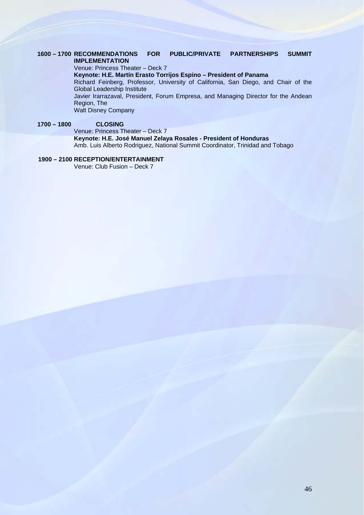# **1600 – 1700 RECOMMENDATIONS FOR PUBLIC/PRIVATE PARTNERSHIPS SUMMIT IMPLEMENTATION**

Venue: Princess Theater – Deck 7

**Keynote: H.E. Martín Erasto Torrijos Espino – President of Panama** 

Richard Feinberg, Professor, University of California, San Diego, and Chair of the Global Leadership Institute

 Javier Irarrazaval, President, Forum Empresa, and Managing Director for the Andean Region, The

Walt Disney Company

# **1700 – 1800 CLOSING**

Venue: Princess Theater – Deck 7 **Keynote: H.E. José Manuel Zelaya Rosales - President of Honduras**  Amb. Luis Alberto Rodriguez, National Summit Coordinator, Trinidad and Tobago

# **1900 – 2100 RECEPTION/ENTERTAINMENT**

Venue: Club Fusion – Deck 7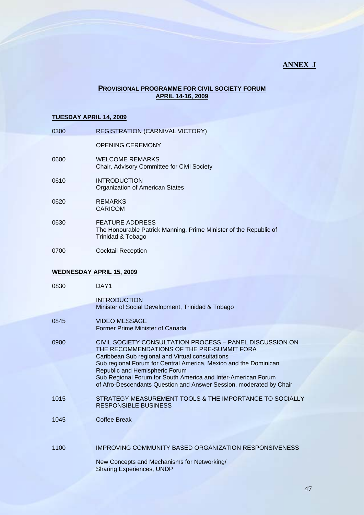# **ANNEX J**

# **PROVISIONAL PROGRAMME FOR CIVIL SOCIETY FORUM APRIL 14-16, 2009**

### **TUESDAY APRIL 14, 2009**

| 0300 | <b>REGISTRATION (CARNIVAL VICTORY)</b>                                                                           |
|------|------------------------------------------------------------------------------------------------------------------|
|      | <b>OPENING CEREMONY</b>                                                                                          |
| 0600 | <b>WELCOME REMARKS</b><br>Chair, Advisory Committee for Civil Society                                            |
| 0610 | <b>INTRODUCTION</b><br><b>Organization of American States</b>                                                    |
| 0620 | <b>REMARKS</b><br>CARICOM                                                                                        |
| 0630 | <b>FEATURE ADDRESS</b><br>The Honourable Patrick Manning, Prime Minister of the Republic of<br>Trinidad & Tobago |

0700 Cocktail Reception

# **WEDNESDAY APRIL 15, 2009**

| 0830 | DAY1                                                                                                                                                                                                                                                                                                                                                                                                     |
|------|----------------------------------------------------------------------------------------------------------------------------------------------------------------------------------------------------------------------------------------------------------------------------------------------------------------------------------------------------------------------------------------------------------|
|      | <b>INTRODUCTION</b><br>Minister of Social Development, Trinidad & Tobago                                                                                                                                                                                                                                                                                                                                 |
| 0845 | <b>VIDEO MESSAGE</b><br>Former Prime Minister of Canada                                                                                                                                                                                                                                                                                                                                                  |
| 0900 | CIVIL SOCIETY CONSULTATION PROCESS - PANEL DISCUSSION ON<br>THE RECOMMENDATIONS OF THE PRE-SUMMIT FORA<br>Caribbean Sub regional and Virtual consultations<br>Sub regional Forum for Central America, Mexico and the Dominican<br>Republic and Hemispheric Forum<br>Sub Regional Forum for South America and Inter-American Forum<br>of Afro-Descendants Question and Answer Session, moderated by Chair |
| 1015 | STRATEGY MEASUREMENT TOOLS & THE IMPORTANCE TO SOCIALLY<br><b>RESPONSIBLE BUSINESS</b>                                                                                                                                                                                                                                                                                                                   |
| 1045 | Coffee Break                                                                                                                                                                                                                                                                                                                                                                                             |
| 1100 | IMPROVING COMMUNITY BASED ORGANIZATION RESPONSIVENESS                                                                                                                                                                                                                                                                                                                                                    |
|      | New Concepts and Mechanisms for Networking/<br><b>Sharing Experiences, UNDP</b>                                                                                                                                                                                                                                                                                                                          |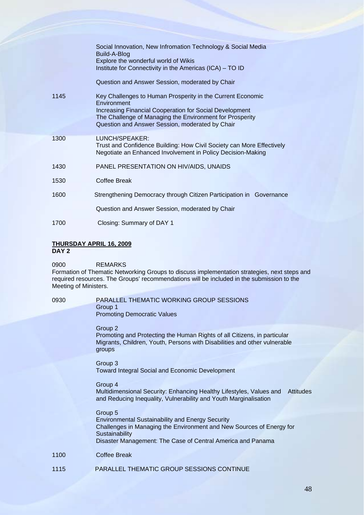|      | Social Innovation, New Infromation Technology & Social Media<br>Build-A-Blog<br>Explore the wonderful world of Wikis<br>Institute for Connectivity in the Americas (ICA) - TO ID                                                                    |
|------|-----------------------------------------------------------------------------------------------------------------------------------------------------------------------------------------------------------------------------------------------------|
|      | Question and Answer Session, moderated by Chair                                                                                                                                                                                                     |
| 1145 | Key Challenges to Human Prosperity in the Current Economic<br>Environment<br>Increasing Financial Cooperation for Social Development<br>The Challenge of Managing the Environment for Prosperity<br>Question and Answer Session, moderated by Chair |
| 1300 | LUNCH/SPEAKER:<br>Trust and Confidence Building: How Civil Society can More Effectively<br>Negotiate an Enhanced Involvement in Policy Decision-Making                                                                                              |
| 1430 | PANEL PRESENTATION ON HIV/AIDS, UNAIDS                                                                                                                                                                                                              |
| 1530 | Coffee Break                                                                                                                                                                                                                                        |
| 1600 | Strengthening Democracy through Citizen Participation in Governance                                                                                                                                                                                 |
|      | Question and Answer Session, moderated by Chair                                                                                                                                                                                                     |
| 1700 | Closing: Summary of DAY 1                                                                                                                                                                                                                           |

# **THURSDAY APRIL 16, 2009**

**DAY 2** 

0900 REMARKS

Formation of Thematic Networking Groups to discuss implementation strategies, next steps and required resources. The Groups' recommendations will be included in the submission to the Meeting of Ministers.

# 0930 PARALLEL THEMATIC WORKING GROUP SESSIONS Group 1 Promoting Democratic Values

Group 2

Promoting and Protecting the Human Rights of all Citizens, in particular Migrants, Children, Youth, Persons with Disabilities and other vulnerable groups

Group 3 Toward Integral Social and Economic Development

# Group 4

Multidimensional Security: Enhancing Healthy Lifestyles, Values and Attitudes and Reducing Inequality, Vulnerability and Youth Marginalisation

# Group 5

Environmental Sustainability and Energy Security Challenges in Managing the Environment and New Sources of Energy for **Sustainability** Disaster Management: The Case of Central America and Panama

# 1100 Coffee Break

1115 PARALLEL THEMATIC GROUP SESSIONS CONTINUE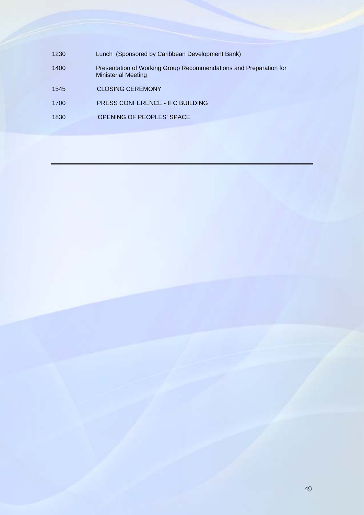1230 Lunch (Sponsored by Caribbean Development Bank) 1400 Presentation of Working Group Recommendations and Preparation for Ministerial Meeting 1545 CLOSING CEREMONY 1700 PRESS CONFERENCE - IFC BUILDING 1830 OPENING OF PEOPLES' SPACE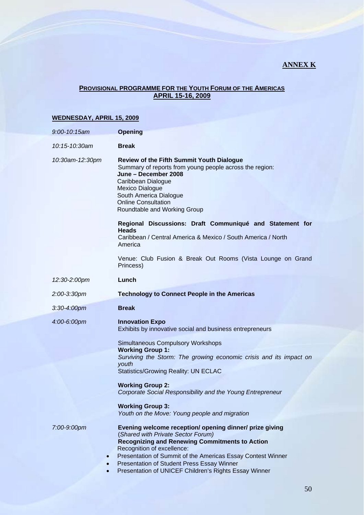# **ANNEX K**

# **PROVISIONAL PROGRAMME FOR THE YOUTH FORUM OF THE AMERICAS APRIL 15-16, 2009**

# **WEDNESDAY, APRIL 15, 2009**

| $9:00 - 10:15$ am | <b>Opening</b>                                                                                                                                                                                                                                                                                                                                                                                                                                               |
|-------------------|--------------------------------------------------------------------------------------------------------------------------------------------------------------------------------------------------------------------------------------------------------------------------------------------------------------------------------------------------------------------------------------------------------------------------------------------------------------|
| 10:15-10:30am     | <b>Break</b>                                                                                                                                                                                                                                                                                                                                                                                                                                                 |
| 10:30am-12:30pm   | <b>Review of the Fifth Summit Youth Dialogue</b><br>Summary of reports from young people across the region:<br>June - December 2008<br>Caribbean Dialogue<br><b>Mexico Dialogue</b><br>South America Dialogue<br><b>Online Consultation</b><br>Roundtable and Working Group<br>Regional Discussions: Draft Communiqué and Statement for                                                                                                                      |
|                   | <b>Heads</b><br>Caribbean / Central America & Mexico / South America / North<br>America                                                                                                                                                                                                                                                                                                                                                                      |
|                   | Venue: Club Fusion & Break Out Rooms (Vista Lounge on Grand<br>Princess)                                                                                                                                                                                                                                                                                                                                                                                     |
| 12:30-2:00pm      | Lunch                                                                                                                                                                                                                                                                                                                                                                                                                                                        |
| 2:00-3:30pm       | <b>Technology to Connect People in the Americas</b>                                                                                                                                                                                                                                                                                                                                                                                                          |
| $3:30 - 4:00$ pm  | <b>Break</b>                                                                                                                                                                                                                                                                                                                                                                                                                                                 |
| 4:00-6:00pm       | <b>Innovation Expo</b><br>Exhibits by innovative social and business entrepreneurs<br><b>Simultaneous Compulsory Workshops</b><br><b>Working Group 1:</b><br>Surviving the Storm: The growing economic crisis and its impact on<br>youth<br><b>Statistics/Growing Reality: UN ECLAC</b><br><b>Working Group 2:</b><br>Corporate Social Responsibility and the Young Entrepreneur<br><b>Working Group 3:</b><br>Youth on the Move: Young people and migration |
| 7:00-9:00pm       | Evening welcome reception/ opening dinner/ prize giving<br>(Shared with Private Sector Forum)<br><b>Recognizing and Renewing Commitments to Action</b><br>Recognition of excellence:<br>Presentation of Summit of the Americas Essay Contest Winner<br>Presentation of Student Press Essay Winner<br>Presentation of UNICEF Children's Rights Essay Winner                                                                                                   |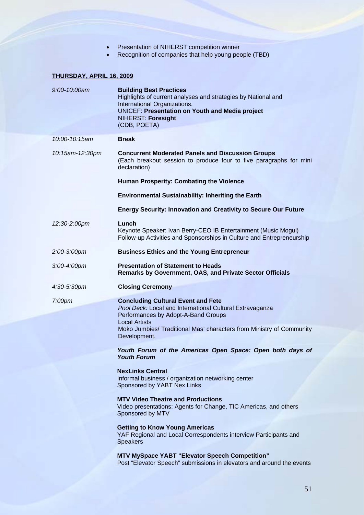- Presentation of NIHERST competition winner
- Recognition of companies that help young people (TBD)

# **THURSDAY, APRIL 16, 2009**

| 9:00-10:00am       | <b>Building Best Practices</b><br>Highlights of current analyses and strategies by National and<br>International Organizations.<br><b>UNICEF: Presentation on Youth and Media project</b><br>NIHERST: Foresight<br>(CDB, POETA)                              |
|--------------------|--------------------------------------------------------------------------------------------------------------------------------------------------------------------------------------------------------------------------------------------------------------|
| 10:00-10:15am      | <b>Break</b>                                                                                                                                                                                                                                                 |
| 10:15am-12:30pm    | <b>Concurrent Moderated Panels and Discussion Groups</b><br>(Each breakout session to produce four to five paragraphs for mini<br>declaration)                                                                                                               |
|                    | Human Prosperity: Combating the Violence                                                                                                                                                                                                                     |
|                    | <b>Environmental Sustainability: Inheriting the Earth</b>                                                                                                                                                                                                    |
|                    | <b>Energy Security: Innovation and Creativity to Secure Our Future</b>                                                                                                                                                                                       |
| 12:30-2:00pm       | Lunch<br>Keynote Speaker: Ivan Berry-CEO IB Entertainment (Music Mogul)<br>Follow-up Activities and Sponsorships in Culture and Entrepreneurship                                                                                                             |
| 2:00-3:00pm        | <b>Business Ethics and the Young Entrepreneur</b>                                                                                                                                                                                                            |
| $3:00 - 4:00$ pm   | <b>Presentation of Statement to Heads</b><br><b>Remarks by Government, OAS, and Private Sector Officials</b>                                                                                                                                                 |
| 4:30-5:30pm        | <b>Closing Ceremony</b>                                                                                                                                                                                                                                      |
| 7:00 <sub>pm</sub> | <b>Concluding Cultural Event and Fete</b><br>Pool Deck: Local and International Cultural Extravaganza<br>Performances by Adopt-A-Band Groups<br><b>Local Artists</b><br>Moko Jumbies/ Traditional Mas' characters from Ministry of Community<br>Development. |
|                    | Youth Forum of the Americas Open Space: Open both days of<br><b>Youth Forum</b>                                                                                                                                                                              |
|                    | <b>NexLinks Central</b>                                                                                                                                                                                                                                      |
|                    | Informal business / organization networking center<br>Sponsored by YABT Nex Links                                                                                                                                                                            |
|                    | <b>MTV Video Theatre and Productions</b><br>Video presentations: Agents for Change, TIC Americas, and others<br>Sponsored by MTV                                                                                                                             |
|                    | <b>Getting to Know Young Americas</b><br>YAF Regional and Local Correspondents interview Participants and<br><b>Speakers</b>                                                                                                                                 |